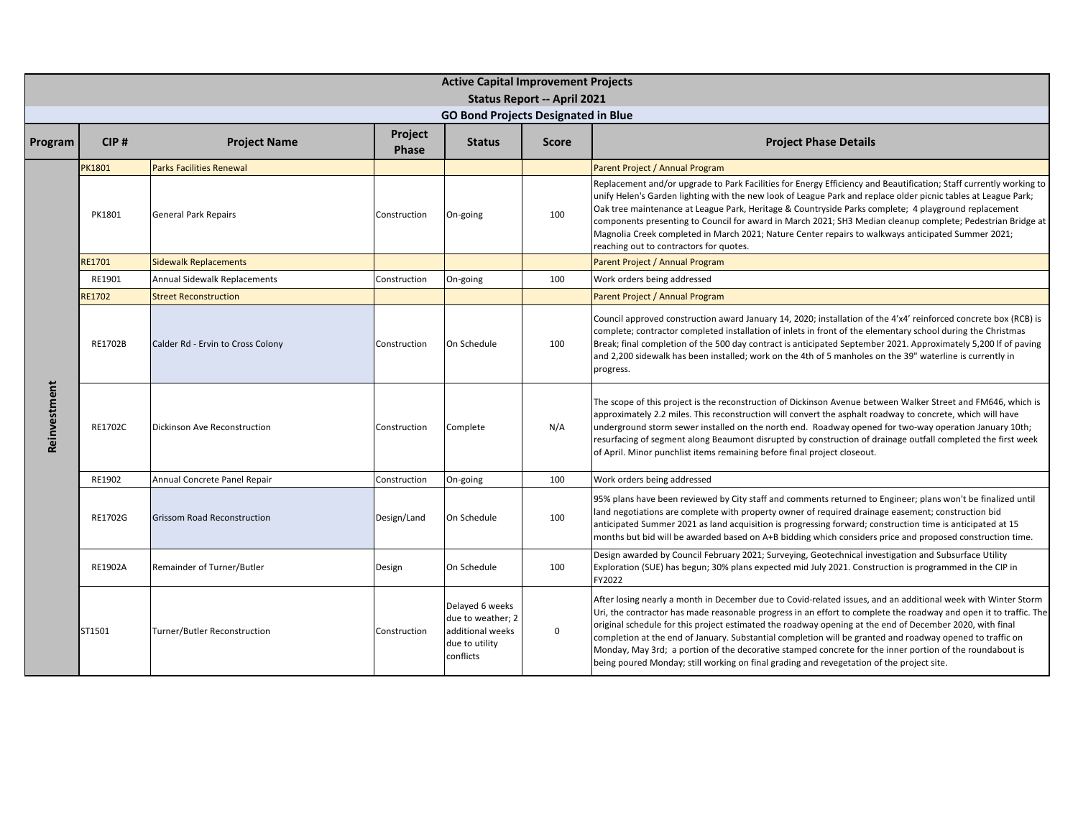|              | <b>Active Capital Improvement Projects</b> |                                    |                         |                                                                                         |                                    |                                                                                                                                                                                                                                                                                                                                                                                                                                                                                                                                                                                                                                                                      |  |  |  |  |
|--------------|--------------------------------------------|------------------------------------|-------------------------|-----------------------------------------------------------------------------------------|------------------------------------|----------------------------------------------------------------------------------------------------------------------------------------------------------------------------------------------------------------------------------------------------------------------------------------------------------------------------------------------------------------------------------------------------------------------------------------------------------------------------------------------------------------------------------------------------------------------------------------------------------------------------------------------------------------------|--|--|--|--|
|              |                                            |                                    |                         |                                                                                         | <b>Status Report -- April 2021</b> |                                                                                                                                                                                                                                                                                                                                                                                                                                                                                                                                                                                                                                                                      |  |  |  |  |
|              |                                            |                                    |                         | <b>GO Bond Projects Designated in Blue</b>                                              |                                    |                                                                                                                                                                                                                                                                                                                                                                                                                                                                                                                                                                                                                                                                      |  |  |  |  |
| Program      | CIP#                                       | <b>Project Name</b>                | Project<br><b>Phase</b> | <b>Status</b>                                                                           | <b>Score</b>                       | <b>Project Phase Details</b>                                                                                                                                                                                                                                                                                                                                                                                                                                                                                                                                                                                                                                         |  |  |  |  |
|              | PK1801                                     | <b>Parks Facilities Renewal</b>    |                         |                                                                                         |                                    | Parent Project / Annual Program                                                                                                                                                                                                                                                                                                                                                                                                                                                                                                                                                                                                                                      |  |  |  |  |
|              | PK1801                                     | <b>General Park Repairs</b>        | Construction            | On-going                                                                                | 100                                | Replacement and/or upgrade to Park Facilities for Energy Efficiency and Beautification; Staff currently working to<br>unify Helen's Garden lighting with the new look of League Park and replace older picnic tables at League Park;<br>Oak tree maintenance at League Park, Heritage & Countryside Parks complete; 4 playground replacement<br>components presenting to Council for award in March 2021; SH3 Median cleanup complete; Pedestrian Bridge at<br>Magnolia Creek completed in March 2021; Nature Center repairs to walkways anticipated Summer 2021;<br>reaching out to contractors for quotes.                                                         |  |  |  |  |
|              | <b>RE1701</b>                              | <b>Sidewalk Replacements</b>       |                         |                                                                                         |                                    | Parent Project / Annual Program                                                                                                                                                                                                                                                                                                                                                                                                                                                                                                                                                                                                                                      |  |  |  |  |
|              | RE1901                                     | Annual Sidewalk Replacements       | Construction            | On-going                                                                                | 100                                | Work orders being addressed                                                                                                                                                                                                                                                                                                                                                                                                                                                                                                                                                                                                                                          |  |  |  |  |
|              | RE1702                                     | <b>Street Reconstruction</b>       |                         |                                                                                         |                                    | Parent Project / Annual Program                                                                                                                                                                                                                                                                                                                                                                                                                                                                                                                                                                                                                                      |  |  |  |  |
|              | RE1702B                                    | Calder Rd - Ervin to Cross Colony  | Construction            | On Schedule                                                                             | 100                                | Council approved construction award January 14, 2020; installation of the 4'x4' reinforced concrete box (RCB) is<br>complete; contractor completed installation of inlets in front of the elementary school during the Christmas<br>Break; final completion of the 500 day contract is anticipated September 2021. Approximately 5,200 If of paving<br>and 2,200 sidewalk has been installed; work on the 4th of 5 manholes on the 39" waterline is currently in<br>progress.                                                                                                                                                                                        |  |  |  |  |
| Reinvestment | RE1702C                                    | Dickinson Ave Reconstruction       | Construction            | Complete                                                                                | N/A                                | The scope of this project is the reconstruction of Dickinson Avenue between Walker Street and FM646, which is<br>approximately 2.2 miles. This reconstruction will convert the asphalt roadway to concrete, which will have<br>underground storm sewer installed on the north end. Roadway opened for two-way operation January 10th;<br>resurfacing of segment along Beaumont disrupted by construction of drainage outfall completed the first week<br>of April. Minor punchlist items remaining before final project closeout.                                                                                                                                    |  |  |  |  |
|              | RE1902                                     | Annual Concrete Panel Repair       | Construction            | On-going                                                                                | 100                                | Work orders being addressed                                                                                                                                                                                                                                                                                                                                                                                                                                                                                                                                                                                                                                          |  |  |  |  |
|              | RE1702G                                    | <b>Grissom Road Reconstruction</b> | Design/Land             | On Schedule                                                                             | 100                                | 95% plans have been reviewed by City staff and comments returned to Engineer; plans won't be finalized until<br>land negotiations are complete with property owner of required drainage easement; construction bid<br>anticipated Summer 2021 as land acquisition is progressing forward; construction time is anticipated at 15<br>months but bid will be awarded based on A+B bidding which considers price and proposed construction time.                                                                                                                                                                                                                        |  |  |  |  |
|              | RE1902A                                    | Remainder of Turner/Butler         | Design                  | On Schedule                                                                             | 100                                | Design awarded by Council February 2021; Surveying, Geotechnical investigation and Subsurface Utility<br>Exploration (SUE) has begun; 30% plans expected mid July 2021. Construction is programmed in the CIP in<br>FY2022                                                                                                                                                                                                                                                                                                                                                                                                                                           |  |  |  |  |
|              | ST1501                                     | Turner/Butler Reconstruction       | Construction            | Delayed 6 weeks<br>due to weather; 2<br>additional weeks<br>due to utility<br>conflicts | $\mathsf 0$                        | After losing nearly a month in December due to Covid-related issues, and an additional week with Winter Storm<br>Uri, the contractor has made reasonable progress in an effort to complete the roadway and open it to traffic. The<br>original schedule for this project estimated the roadway opening at the end of December 2020, with final<br>completion at the end of January. Substantial completion will be granted and roadway opened to traffic on<br>Monday, May 3rd; a portion of the decorative stamped concrete for the inner portion of the roundabout is<br>being poured Monday; still working on final grading and revegetation of the project site. |  |  |  |  |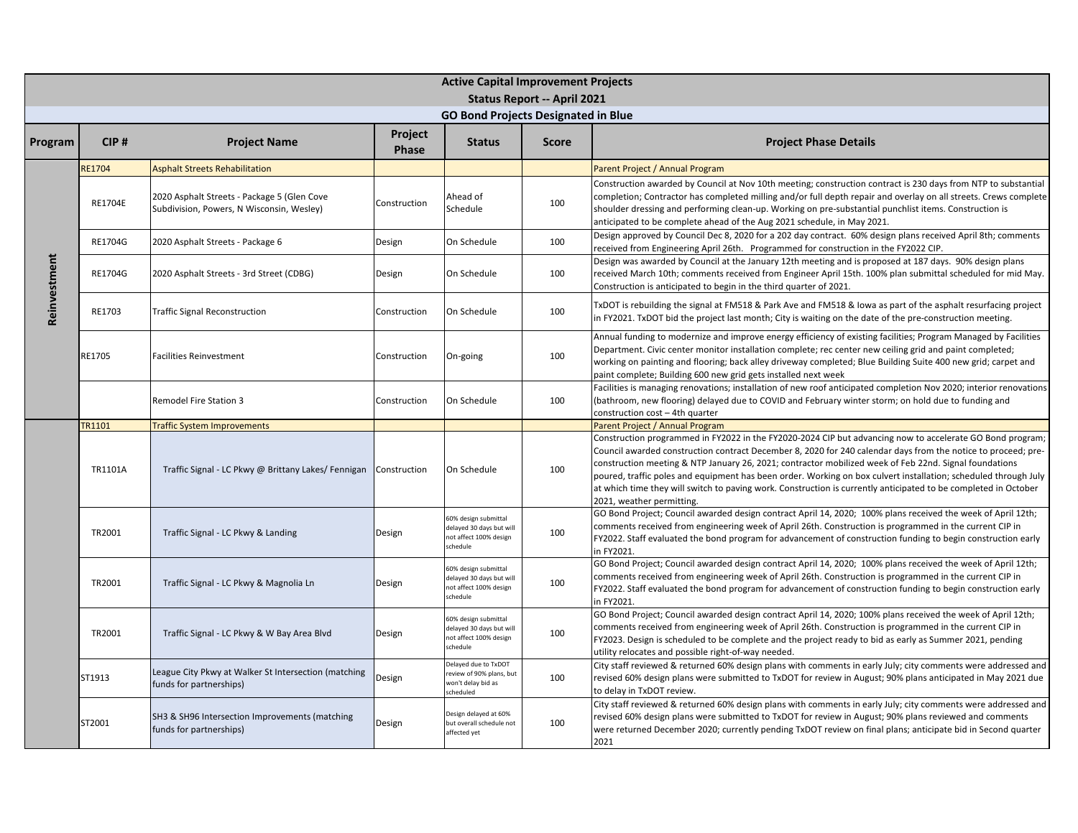|              | <b>Active Capital Improvement Projects</b> |                                                                                          |                         |                                                                                        |                                    |                                                                                                                                                                                                                                                                                                                                                                                                                                                                                                                                                                                                         |  |  |  |  |
|--------------|--------------------------------------------|------------------------------------------------------------------------------------------|-------------------------|----------------------------------------------------------------------------------------|------------------------------------|---------------------------------------------------------------------------------------------------------------------------------------------------------------------------------------------------------------------------------------------------------------------------------------------------------------------------------------------------------------------------------------------------------------------------------------------------------------------------------------------------------------------------------------------------------------------------------------------------------|--|--|--|--|
|              |                                            |                                                                                          |                         |                                                                                        | <b>Status Report -- April 2021</b> |                                                                                                                                                                                                                                                                                                                                                                                                                                                                                                                                                                                                         |  |  |  |  |
|              |                                            |                                                                                          |                         | <b>GO Bond Projects Designated in Blue</b>                                             |                                    |                                                                                                                                                                                                                                                                                                                                                                                                                                                                                                                                                                                                         |  |  |  |  |
| Program      | CIP#                                       | <b>Project Name</b>                                                                      | Project<br><b>Phase</b> | <b>Status</b>                                                                          | <b>Score</b>                       | <b>Project Phase Details</b>                                                                                                                                                                                                                                                                                                                                                                                                                                                                                                                                                                            |  |  |  |  |
|              | <b>RE1704</b>                              | <b>Asphalt Streets Rehabilitation</b>                                                    |                         |                                                                                        |                                    | Parent Project / Annual Program                                                                                                                                                                                                                                                                                                                                                                                                                                                                                                                                                                         |  |  |  |  |
|              | RE1704E                                    | 2020 Asphalt Streets - Package 5 (Glen Cove<br>Subdivision, Powers, N Wisconsin, Wesley) | Construction            | Ahead of<br>Schedule                                                                   | 100                                | Construction awarded by Council at Nov 10th meeting; construction contract is 230 days from NTP to substantial<br>completion; Contractor has completed milling and/or full depth repair and overlay on all streets. Crews complete<br>shoulder dressing and performing clean-up. Working on pre-substantial punchlist items. Construction is<br>anticipated to be complete ahead of the Aug 2021 schedule, in May 2021.                                                                                                                                                                                 |  |  |  |  |
|              | RE1704G                                    | 2020 Asphalt Streets - Package 6                                                         | Design                  | On Schedule                                                                            | 100                                | Design approved by Council Dec 8, 2020 for a 202 day contract. 60% design plans received April 8th; comments<br>received from Engineering April 26th. Programmed for construction in the FY2022 CIP.                                                                                                                                                                                                                                                                                                                                                                                                    |  |  |  |  |
| Reinvestment | RE1704G                                    | 2020 Asphalt Streets - 3rd Street (CDBG)                                                 | Design                  | On Schedule                                                                            | 100                                | Design was awarded by Council at the January 12th meeting and is proposed at 187 days. 90% design plans<br>received March 10th; comments received from Engineer April 15th. 100% plan submittal scheduled for mid May.<br>Construction is anticipated to begin in the third quarter of 2021.                                                                                                                                                                                                                                                                                                            |  |  |  |  |
|              | RE1703                                     | <b>Traffic Signal Reconstruction</b>                                                     | Construction            | On Schedule                                                                            | 100                                | TxDOT is rebuilding the signal at FM518 & Park Ave and FM518 & Iowa as part of the asphalt resurfacing project<br>n FY2021. TxDOT bid the project last month; City is waiting on the date of the pre-construction meeting.                                                                                                                                                                                                                                                                                                                                                                              |  |  |  |  |
|              | RE1705                                     | <b>Facilities Reinvestment</b>                                                           | Construction            | On-going                                                                               | 100                                | Annual funding to modernize and improve energy efficiency of existing facilities; Program Managed by Facilities<br>Department. Civic center monitor installation complete; rec center new ceiling grid and paint completed;<br>working on painting and flooring; back alley driveway completed; Blue Building Suite 400 new grid; carpet and<br>paint complete; Building 600 new grid gets installed next week                                                                                                                                                                                          |  |  |  |  |
|              |                                            | Remodel Fire Station 3                                                                   | Construction            | On Schedule                                                                            | 100                                | Facilities is managing renovations; installation of new roof anticipated completion Nov 2020; interior renovations<br>bathroom, new flooring) delayed due to COVID and February winter storm; on hold due to funding and<br>construction cost - 4th quarter                                                                                                                                                                                                                                                                                                                                             |  |  |  |  |
|              | TR1101                                     | <b>Traffic System Improvements</b>                                                       |                         |                                                                                        |                                    | Parent Project / Annual Program                                                                                                                                                                                                                                                                                                                                                                                                                                                                                                                                                                         |  |  |  |  |
|              | TR1101A                                    | Traffic Signal - LC Pkwy @ Brittany Lakes/ Fennigan Construction                         |                         | On Schedule                                                                            | 100                                | Construction programmed in FY2022 in the FY2020-2024 CIP but advancing now to accelerate GO Bond program;<br>Council awarded construction contract December 8, 2020 for 240 calendar days from the notice to proceed; pre-<br>construction meeting & NTP January 26, 2021; contractor mobilized week of Feb 22nd. Signal foundations<br>poured, traffic poles and equipment has been order. Working on box culvert installation; scheduled through July<br>at which time they will switch to paving work. Construction is currently anticipated to be completed in October<br>2021, weather permitting. |  |  |  |  |
|              | TR2001                                     | Traffic Signal - LC Pkwy & Landing                                                       | Design                  | 60% design submittal<br>delayed 30 days but will<br>not affect 100% design<br>schedule | 100                                | GO Bond Project; Council awarded design contract April 14, 2020; 100% plans received the week of April 12th;<br>comments received from engineering week of April 26th. Construction is programmed in the current CIP in<br>FY2022. Staff evaluated the bond program for advancement of construction funding to begin construction early<br>n FY2021.                                                                                                                                                                                                                                                    |  |  |  |  |
|              | TR2001                                     | Traffic Signal - LC Pkwy & Magnolia Ln                                                   | Design                  | 60% design submittal<br>delayed 30 days but will<br>not affect 100% design<br>schedule | 100                                | GO Bond Project; Council awarded design contract April 14, 2020; 100% plans received the week of April 12th;<br>comments received from engineering week of April 26th. Construction is programmed in the current CIP in<br>FY2022. Staff evaluated the bond program for advancement of construction funding to begin construction early<br>in FY2021.                                                                                                                                                                                                                                                   |  |  |  |  |
|              | TR2001                                     | Traffic Signal - LC Pkwy & W Bay Area Blvd                                               | Design                  | 60% design submittal<br>delayed 30 days but will<br>not affect 100% design<br>schedule | 100                                | GO Bond Project; Council awarded design contract April 14, 2020; 100% plans received the week of April 12th;<br>comments received from engineering week of April 26th. Construction is programmed in the current CIP in<br>FY2023. Design is scheduled to be complete and the project ready to bid as early as Summer 2021, pending<br>utility relocates and possible right-of-way needed.                                                                                                                                                                                                              |  |  |  |  |
|              | ST1913                                     | League City Pkwy at Walker St Intersection (matching<br>funds for partnerships)          | Design                  | Delayed due to TxDOT<br>review of 90% plans, but<br>won't delay bid as<br>scheduled    | 100                                | City staff reviewed & returned 60% design plans with comments in early July; city comments were addressed and<br>evised 60% design plans were submitted to TxDOT for review in August; 90% plans anticipated in May 2021 due<br>to delay in TxDOT review.                                                                                                                                                                                                                                                                                                                                               |  |  |  |  |
|              | ST2001                                     | SH3 & SH96 Intersection Improvements (matching<br>funds for partnerships)                | Design                  | Design delayed at 60%<br>but overall schedule not<br>affected yet                      | 100                                | City staff reviewed & returned 60% design plans with comments in early July; city comments were addressed and<br>evised 60% design plans were submitted to TxDOT for review in August; 90% plans reviewed and comments<br>were returned December 2020; currently pending TxDOT review on final plans; anticipate bid in Second quarter<br>2021                                                                                                                                                                                                                                                          |  |  |  |  |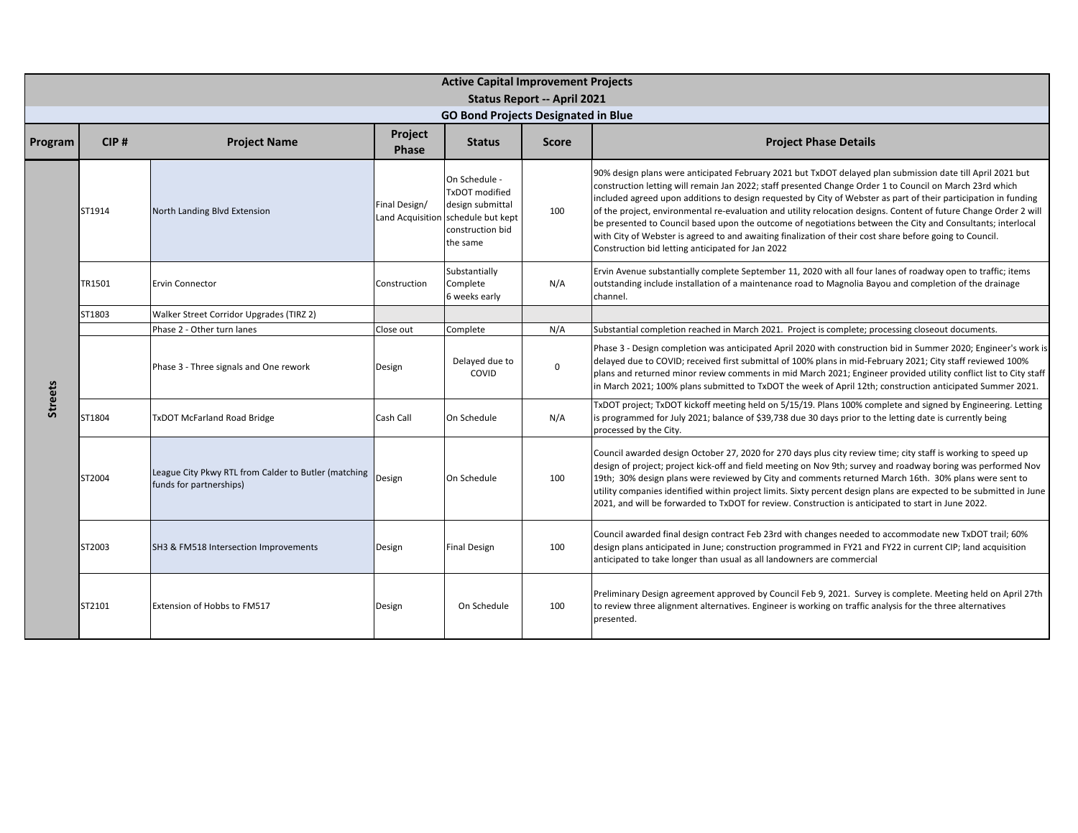|                |        |                                                                                 |                  | <b>Active Capital Improvement Projects</b>                                                                                |                                    |                                                                                                                                                                                                                                                                                                                                                                                                                                                                                                                                                                                                                                                                                                                                                |
|----------------|--------|---------------------------------------------------------------------------------|------------------|---------------------------------------------------------------------------------------------------------------------------|------------------------------------|------------------------------------------------------------------------------------------------------------------------------------------------------------------------------------------------------------------------------------------------------------------------------------------------------------------------------------------------------------------------------------------------------------------------------------------------------------------------------------------------------------------------------------------------------------------------------------------------------------------------------------------------------------------------------------------------------------------------------------------------|
|                |        |                                                                                 |                  | <b>GO Bond Projects Designated in Blue</b>                                                                                | <b>Status Report -- April 2021</b> |                                                                                                                                                                                                                                                                                                                                                                                                                                                                                                                                                                                                                                                                                                                                                |
| Program        | CIP#   | <b>Project Name</b>                                                             | Project<br>Phase | <b>Status</b>                                                                                                             | <b>Score</b>                       | <b>Project Phase Details</b>                                                                                                                                                                                                                                                                                                                                                                                                                                                                                                                                                                                                                                                                                                                   |
|                | ST1914 | North Landing Blvd Extension                                                    | Final Design/    | On Schedule -<br>TxDOT modified<br>design submittal<br>Land Acquisition schedule but kept<br>construction bid<br>the same | 100                                | 90% design plans were anticipated February 2021 but TxDOT delayed plan submission date till April 2021 but<br>construction letting will remain Jan 2022; staff presented Change Order 1 to Council on March 23rd which<br>included agreed upon additions to design requested by City of Webster as part of their participation in funding<br>of the project, environmental re-evaluation and utility relocation designs. Content of future Change Order 2 will<br>be presented to Council based upon the outcome of negotiations between the City and Consultants; interlocal<br>with City of Webster is agreed to and awaiting finalization of their cost share before going to Council.<br>Construction bid letting anticipated for Jan 2022 |
|                | TR1501 | <b>Ervin Connector</b>                                                          | Construction     | Substantially<br>Complete<br>6 weeks early                                                                                | N/A                                | Ervin Avenue substantially complete September 11, 2020 with all four lanes of roadway open to traffic; items<br>outstanding include installation of a maintenance road to Magnolia Bayou and completion of the drainage<br>channel.                                                                                                                                                                                                                                                                                                                                                                                                                                                                                                            |
|                | ST1803 | Walker Street Corridor Upgrades (TIRZ 2)                                        |                  |                                                                                                                           |                                    |                                                                                                                                                                                                                                                                                                                                                                                                                                                                                                                                                                                                                                                                                                                                                |
|                |        | Phase 2 - Other turn lanes                                                      | Close out        | Complete                                                                                                                  | N/A                                | Substantial completion reached in March 2021. Project is complete; processing closeout documents.                                                                                                                                                                                                                                                                                                                                                                                                                                                                                                                                                                                                                                              |
|                |        | Phase 3 - Three signals and One rework                                          | Design           | Delayed due to<br>COVID                                                                                                   | $\mathsf 0$                        | Phase 3 - Design completion was anticipated April 2020 with construction bid in Summer 2020; Engineer's work is<br>delayed due to COVID; received first submittal of 100% plans in mid-February 2021; City staff reviewed 100%<br>plans and returned minor review comments in mid March 2021; Engineer provided utility conflict list to City staff<br>in March 2021; 100% plans submitted to TxDOT the week of April 12th; construction anticipated Summer 2021.                                                                                                                                                                                                                                                                              |
| <b>Streets</b> | ST1804 | <b>TxDOT McFarland Road Bridge</b>                                              | Cash Call        | On Schedule                                                                                                               | N/A                                | TxDOT project; TxDOT kickoff meeting held on 5/15/19. Plans 100% complete and signed by Engineering. Letting<br>is programmed for July 2021; balance of \$39,738 due 30 days prior to the letting date is currently being<br>processed by the City.                                                                                                                                                                                                                                                                                                                                                                                                                                                                                            |
|                | ST2004 | League City Pkwy RTL from Calder to Butler (matching<br>funds for partnerships) | Design           | On Schedule                                                                                                               | 100                                | Council awarded design October 27, 2020 for 270 days plus city review time; city staff is working to speed up<br>design of project; project kick-off and field meeting on Nov 9th; survey and roadway boring was performed Nov<br>19th; 30% design plans were reviewed by City and comments returned March 16th. 30% plans were sent to<br>utility companies identified within project limits. Sixty percent design plans are expected to be submitted in June<br>2021, and will be forwarded to TxDOT for review. Construction is anticipated to start in June 2022.                                                                                                                                                                          |
|                | ST2003 | SH3 & FM518 Intersection Improvements                                           | Design           | <b>Final Design</b>                                                                                                       | 100                                | Council awarded final design contract Feb 23rd with changes needed to accommodate new TxDOT trail; 60%<br>design plans anticipated in June; construction programmed in FY21 and FY22 in current CIP; land acquisition<br>anticipated to take longer than usual as all landowners are commercial                                                                                                                                                                                                                                                                                                                                                                                                                                                |
|                | ST2101 | Extension of Hobbs to FM517                                                     | Design           | On Schedule                                                                                                               | 100                                | Preliminary Design agreement approved by Council Feb 9, 2021. Survey is complete. Meeting held on April 27th<br>to review three alignment alternatives. Engineer is working on traffic analysis for the three alternatives<br>presented.                                                                                                                                                                                                                                                                                                                                                                                                                                                                                                       |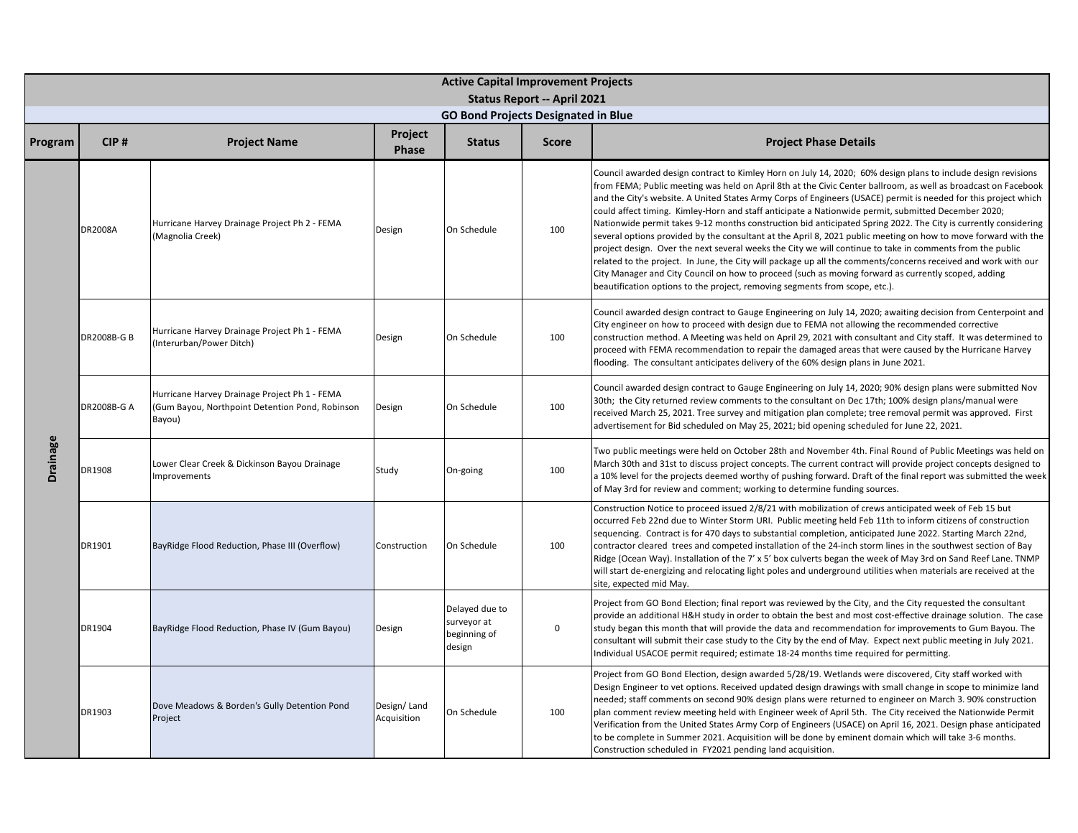|          | <b>Active Capital Improvement Projects</b><br><b>Status Report -- April 2021</b> |                                                                                                            |                            |                                                         |              |                                                                                                                                                                                                                                                                                                                                                                                                                                                                                                                                                                                                                                                                                                                                                                                                                                                                                                                                                                                                                                                                                                                     |  |  |  |  |
|----------|----------------------------------------------------------------------------------|------------------------------------------------------------------------------------------------------------|----------------------------|---------------------------------------------------------|--------------|---------------------------------------------------------------------------------------------------------------------------------------------------------------------------------------------------------------------------------------------------------------------------------------------------------------------------------------------------------------------------------------------------------------------------------------------------------------------------------------------------------------------------------------------------------------------------------------------------------------------------------------------------------------------------------------------------------------------------------------------------------------------------------------------------------------------------------------------------------------------------------------------------------------------------------------------------------------------------------------------------------------------------------------------------------------------------------------------------------------------|--|--|--|--|
|          |                                                                                  |                                                                                                            |                            | <b>GO Bond Projects Designated in Blue</b>              |              |                                                                                                                                                                                                                                                                                                                                                                                                                                                                                                                                                                                                                                                                                                                                                                                                                                                                                                                                                                                                                                                                                                                     |  |  |  |  |
| Program  | CIP#                                                                             | <b>Project Name</b>                                                                                        | Project<br>Phase           | <b>Status</b>                                           | <b>Score</b> | <b>Project Phase Details</b>                                                                                                                                                                                                                                                                                                                                                                                                                                                                                                                                                                                                                                                                                                                                                                                                                                                                                                                                                                                                                                                                                        |  |  |  |  |
|          | DR2008A                                                                          | Hurricane Harvey Drainage Project Ph 2 - FEMA<br>(Magnolia Creek)                                          | Design                     | On Schedule                                             | 100          | Council awarded design contract to Kimley Horn on July 14, 2020; 60% design plans to include design revisions<br>from FEMA; Public meeting was held on April 8th at the Civic Center ballroom, as well as broadcast on Facebook<br>and the City's website. A United States Army Corps of Engineers (USACE) permit is needed for this project which<br>could affect timing. Kimley-Horn and staff anticipate a Nationwide permit, submitted December 2020;<br>Nationwide permit takes 9-12 months construction bid anticipated Spring 2022. The City is currently considering<br>several options provided by the consultant at the April 8, 2021 public meeting on how to move forward with the<br>project design. Over the next several weeks the City we will continue to take in comments from the public<br>related to the project. In June, the City will package up all the comments/concerns received and work with our<br>City Manager and City Council on how to proceed (such as moving forward as currently scoped, adding<br>beautification options to the project, removing segments from scope, etc.). |  |  |  |  |
|          | DR2008B-G B                                                                      | Hurricane Harvey Drainage Project Ph 1 - FEMA<br>(Interurban/Power Ditch)                                  | Design                     | On Schedule                                             | 100          | Council awarded design contract to Gauge Engineering on July 14, 2020; awaiting decision from Centerpoint and<br>City engineer on how to proceed with design due to FEMA not allowing the recommended corrective<br>construction method. A Meeting was held on April 29, 2021 with consultant and City staff. It was determined to<br>proceed with FEMA recommendation to repair the damaged areas that were caused by the Hurricane Harvey<br>flooding. The consultant anticipates delivery of the 60% design plans in June 2021.                                                                                                                                                                                                                                                                                                                                                                                                                                                                                                                                                                                  |  |  |  |  |
|          | DR2008B-G A                                                                      | Hurricane Harvey Drainage Project Ph 1 - FEMA<br>(Gum Bayou, Northpoint Detention Pond, Robinson<br>Bayou) | Design                     | On Schedule                                             | 100          | Council awarded design contract to Gauge Engineering on July 14, 2020; 90% design plans were submitted Nov<br>30th; the City returned review comments to the consultant on Dec 17th; 100% design plans/manual were<br>received March 25, 2021. Tree survey and mitigation plan complete; tree removal permit was approved. First<br>advertisement for Bid scheduled on May 25, 2021; bid opening scheduled for June 22, 2021.                                                                                                                                                                                                                                                                                                                                                                                                                                                                                                                                                                                                                                                                                       |  |  |  |  |
| Drainage | DR1908                                                                           | Lower Clear Creek & Dickinson Bayou Drainage<br>mprovements                                                | Study                      | On-going                                                | 100          | Two public meetings were held on October 28th and November 4th. Final Round of Public Meetings was held on<br>March 30th and 31st to discuss project concepts. The current contract will provide project concepts designed to<br>a 10% level for the projects deemed worthy of pushing forward. Draft of the final report was submitted the week<br>of May 3rd for review and comment; working to determine funding sources.                                                                                                                                                                                                                                                                                                                                                                                                                                                                                                                                                                                                                                                                                        |  |  |  |  |
|          | DR1901                                                                           | BayRidge Flood Reduction, Phase III (Overflow)                                                             | Construction               | On Schedule                                             | 100          | Construction Notice to proceed issued 2/8/21 with mobilization of crews anticipated week of Feb 15 but<br>occurred Feb 22nd due to Winter Storm URI. Public meeting held Feb 11th to inform citizens of construction<br>sequencing. Contract is for 470 days to substantial completion, anticipated June 2022. Starting March 22nd,<br>contractor cleared trees and competed installation of the 24-inch storm lines in the southwest section of Bay<br>Ridge (Ocean Way). Installation of the 7' x 5' box culverts began the week of May 3rd on Sand Reef Lane. TNMP<br>will start de-energizing and relocating light poles and underground utilities when materials are received at the<br>site, expected mid May.                                                                                                                                                                                                                                                                                                                                                                                                |  |  |  |  |
|          | DR1904                                                                           | BayRidge Flood Reduction, Phase IV (Gum Bayou)                                                             | Design                     | Delayed due to<br>surveyor at<br>beginning of<br>design | $\mathsf 0$  | Project from GO Bond Election; final report was reviewed by the City, and the City requested the consultant<br>provide an additional H&H study in order to obtain the best and most cost-effective drainage solution. The case<br>study began this month that will provide the data and recommendation for improvements to Gum Bayou. The<br>consultant will submit their case study to the City by the end of May. Expect next public meeting in July 2021.<br>Individual USACOE permit required; estimate 18-24 months time required for permitting.                                                                                                                                                                                                                                                                                                                                                                                                                                                                                                                                                              |  |  |  |  |
|          | DR1903                                                                           | Dove Meadows & Borden's Gully Detention Pond<br>Project                                                    | Design/Land<br>Acquisition | On Schedule                                             | 100          | Project from GO Bond Election, design awarded 5/28/19. Wetlands were discovered, City staff worked with<br>Design Engineer to vet options. Received updated design drawings with small change in scope to minimize land<br>needed; staff comments on second 90% design plans were returned to engineer on March 3. 90% construction<br>plan comment review meeting held with Engineer week of April 5th. The City received the Nationwide Permit<br>Verification from the United States Army Corp of Engineers (USACE) on April 16, 2021. Design phase anticipated<br>to be complete in Summer 2021. Acquisition will be done by eminent domain which will take 3-6 months.<br>Construction scheduled in FY2021 pending land acquisition.                                                                                                                                                                                                                                                                                                                                                                           |  |  |  |  |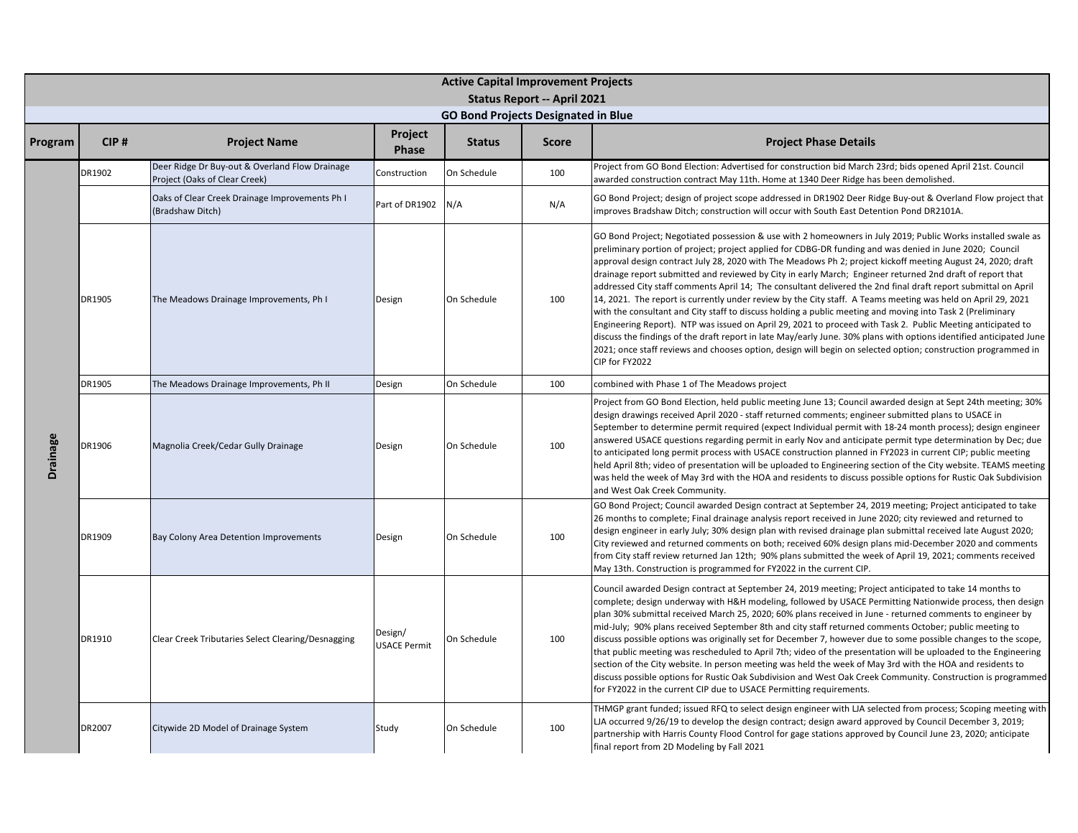|                 | <b>Active Capital Improvement Projects</b> |                                                                                 |                                |                                            |                                    |                                                                                                                                                                                                                                                                                                                                                                                                                                                                                                                                                                                                                                                                                                                                                                                                                                                                                                                                                                                                                                                                                                                                                                                |  |  |  |
|-----------------|--------------------------------------------|---------------------------------------------------------------------------------|--------------------------------|--------------------------------------------|------------------------------------|--------------------------------------------------------------------------------------------------------------------------------------------------------------------------------------------------------------------------------------------------------------------------------------------------------------------------------------------------------------------------------------------------------------------------------------------------------------------------------------------------------------------------------------------------------------------------------------------------------------------------------------------------------------------------------------------------------------------------------------------------------------------------------------------------------------------------------------------------------------------------------------------------------------------------------------------------------------------------------------------------------------------------------------------------------------------------------------------------------------------------------------------------------------------------------|--|--|--|
|                 |                                            |                                                                                 |                                | <b>GO Bond Projects Designated in Blue</b> | <b>Status Report -- April 2021</b> |                                                                                                                                                                                                                                                                                                                                                                                                                                                                                                                                                                                                                                                                                                                                                                                                                                                                                                                                                                                                                                                                                                                                                                                |  |  |  |
| Program         | CIP#                                       | <b>Project Name</b>                                                             | Project<br><b>Phase</b>        | <b>Status</b>                              | <b>Score</b>                       | <b>Project Phase Details</b>                                                                                                                                                                                                                                                                                                                                                                                                                                                                                                                                                                                                                                                                                                                                                                                                                                                                                                                                                                                                                                                                                                                                                   |  |  |  |
|                 | DR1902                                     | Deer Ridge Dr Buy-out & Overland Flow Drainage<br>Project (Oaks of Clear Creek) | Construction                   | On Schedule                                | 100                                | Project from GO Bond Election: Advertised for construction bid March 23rd; bids opened April 21st. Council<br>awarded construction contract May 11th. Home at 1340 Deer Ridge has been demolished.                                                                                                                                                                                                                                                                                                                                                                                                                                                                                                                                                                                                                                                                                                                                                                                                                                                                                                                                                                             |  |  |  |
|                 |                                            | Oaks of Clear Creek Drainage Improvements Ph I<br>(Bradshaw Ditch)              | Part of DR1902                 | N/A                                        | N/A                                | GO Bond Project; design of project scope addressed in DR1902 Deer Ridge Buy-out & Overland Flow project that<br>improves Bradshaw Ditch; construction will occur with South East Detention Pond DR2101A.                                                                                                                                                                                                                                                                                                                                                                                                                                                                                                                                                                                                                                                                                                                                                                                                                                                                                                                                                                       |  |  |  |
|                 | DR1905                                     | The Meadows Drainage Improvements, Ph I                                         | Design                         | On Schedule                                | 100                                | GO Bond Project; Negotiated possession & use with 2 homeowners in July 2019; Public Works installed swale as<br>preliminary portion of project; project applied for CDBG-DR funding and was denied in June 2020; Council<br>approval design contract July 28, 2020 with The Meadows Ph 2; project kickoff meeting August 24, 2020; draft<br>drainage report submitted and reviewed by City in early March; Engineer returned 2nd draft of report that<br>addressed City staff comments April 14; The consultant delivered the 2nd final draft report submittal on April<br>14, 2021. The report is currently under review by the City staff. A Teams meeting was held on April 29, 2021<br>with the consultant and City staff to discuss holding a public meeting and moving into Task 2 (Preliminary<br>Engineering Report). NTP was issued on April 29, 2021 to proceed with Task 2. Public Meeting anticipated to<br>discuss the findings of the draft report in late May/early June. 30% plans with options identified anticipated June<br>2021; once staff reviews and chooses option, design will begin on selected option; construction programmed in<br>CIP for FY2022 |  |  |  |
|                 | DR1905                                     | The Meadows Drainage Improvements, Ph II                                        | Design                         | On Schedule                                | 100                                | combined with Phase 1 of The Meadows project                                                                                                                                                                                                                                                                                                                                                                                                                                                                                                                                                                                                                                                                                                                                                                                                                                                                                                                                                                                                                                                                                                                                   |  |  |  |
| <b>Drainage</b> | DR1906                                     | Magnolia Creek/Cedar Gully Drainage                                             | Design                         | On Schedule                                | 100                                | Project from GO Bond Election, held public meeting June 13; Council awarded design at Sept 24th meeting; 30%<br>design drawings received April 2020 - staff returned comments; engineer submitted plans to USACE in<br>September to determine permit required (expect Individual permit with 18-24 month process); design engineer<br>answered USACE questions regarding permit in early Nov and anticipate permit type determination by Dec; due<br>to anticipated long permit process with USACE construction planned in FY2023 in current CIP; public meeting<br>held April 8th; video of presentation will be uploaded to Engineering section of the City website. TEAMS meeting<br>was held the week of May 3rd with the HOA and residents to discuss possible options for Rustic Oak Subdivision<br>and West Oak Creek Community.                                                                                                                                                                                                                                                                                                                                        |  |  |  |
|                 | DR1909                                     | Bay Colony Area Detention Improvements                                          | Design                         | On Schedule                                | 100                                | GO Bond Project; Council awarded Design contract at September 24, 2019 meeting; Project anticipated to take<br>26 months to complete; Final drainage analysis report received in June 2020; city reviewed and returned to<br>design engineer in early July; 30% design plan with revised drainage plan submittal received late August 2020;<br>City reviewed and returned comments on both; received 60% design plans mid-December 2020 and comments<br>from City staff review returned Jan 12th; 90% plans submitted the week of April 19, 2021; comments received<br>May 13th. Construction is programmed for FY2022 in the current CIP.                                                                                                                                                                                                                                                                                                                                                                                                                                                                                                                                     |  |  |  |
|                 | DR1910                                     | Clear Creek Tributaries Select Clearing/Desnagging                              | Design/<br><b>USACE Permit</b> | On Schedule                                | 100                                | Council awarded Design contract at September 24, 2019 meeting; Project anticipated to take 14 months to<br>complete; design underway with H&H modeling, followed by USACE Permitting Nationwide process, then design<br>plan 30% submittal received March 25, 2020; 60% plans received in June - returned comments to engineer by<br>mid-July; 90% plans received September 8th and city staff returned comments October; public meeting to<br>discuss possible options was originally set for December 7, however due to some possible changes to the scope,<br>that public meeting was rescheduled to April 7th; video of the presentation will be uploaded to the Engineering<br>section of the City website. In person meeting was held the week of May 3rd with the HOA and residents to<br>discuss possible options for Rustic Oak Subdivision and West Oak Creek Community. Construction is programmed<br>for FY2022 in the current CIP due to USACE Permitting requirements.                                                                                                                                                                                           |  |  |  |
|                 | DR2007                                     | Citywide 2D Model of Drainage System                                            | Study                          | On Schedule                                | 100                                | THMGP grant funded; issued RFQ to select design engineer with LJA selected from process; Scoping meeting with<br>LIA occurred 9/26/19 to develop the design contract; design award approved by Council December 3, 2019;<br>partnership with Harris County Flood Control for gage stations approved by Council June 23, 2020; anticipate<br>final report from 2D Modeling by Fall 2021                                                                                                                                                                                                                                                                                                                                                                                                                                                                                                                                                                                                                                                                                                                                                                                         |  |  |  |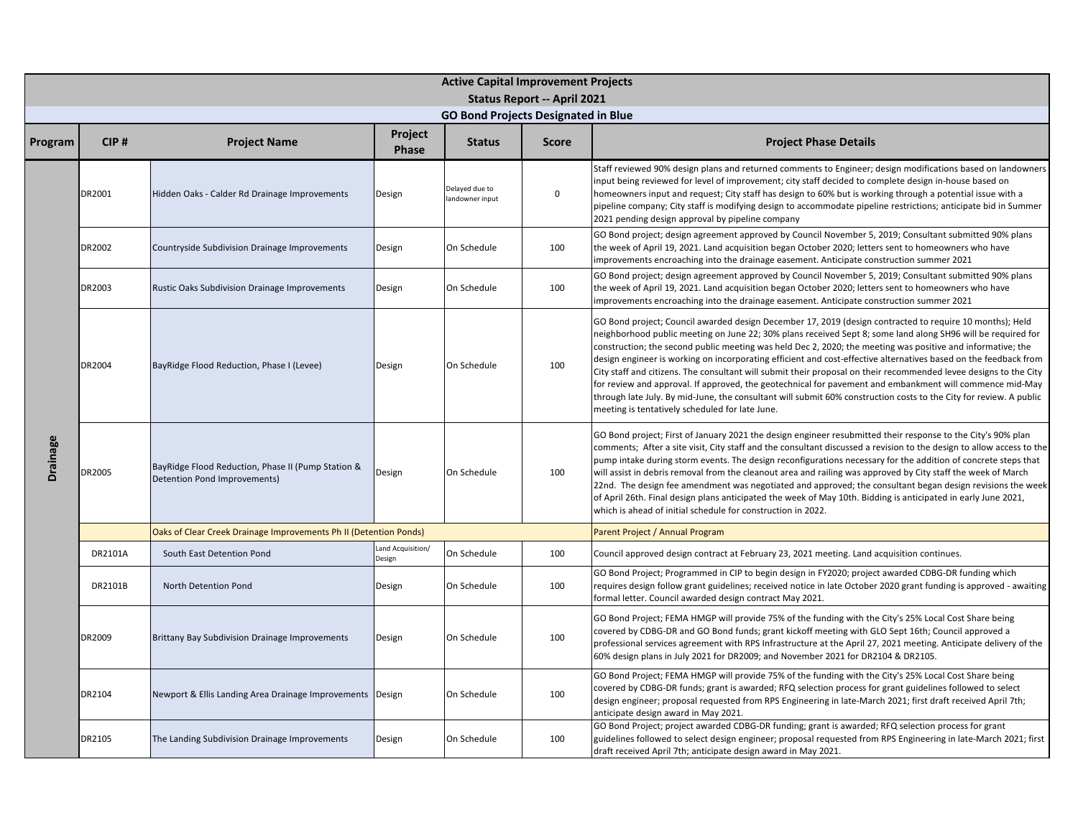|                 | <b>Active Capital Improvement Projects</b> |                                                                                    |                             |                                            |                                    |                                                                                                                                                                                                                                                                                                                                                                                                                                                                                                                                                                                                                                                                                                                                                                                                                                                                       |  |  |  |  |
|-----------------|--------------------------------------------|------------------------------------------------------------------------------------|-----------------------------|--------------------------------------------|------------------------------------|-----------------------------------------------------------------------------------------------------------------------------------------------------------------------------------------------------------------------------------------------------------------------------------------------------------------------------------------------------------------------------------------------------------------------------------------------------------------------------------------------------------------------------------------------------------------------------------------------------------------------------------------------------------------------------------------------------------------------------------------------------------------------------------------------------------------------------------------------------------------------|--|--|--|--|
|                 |                                            |                                                                                    |                             |                                            | <b>Status Report -- April 2021</b> |                                                                                                                                                                                                                                                                                                                                                                                                                                                                                                                                                                                                                                                                                                                                                                                                                                                                       |  |  |  |  |
|                 |                                            |                                                                                    | Project                     | <b>GO Bond Projects Designated in Blue</b> |                                    |                                                                                                                                                                                                                                                                                                                                                                                                                                                                                                                                                                                                                                                                                                                                                                                                                                                                       |  |  |  |  |
| Program         | CIP#                                       | <b>Project Name</b>                                                                | Phase                       | <b>Status</b>                              | <b>Score</b>                       | <b>Project Phase Details</b>                                                                                                                                                                                                                                                                                                                                                                                                                                                                                                                                                                                                                                                                                                                                                                                                                                          |  |  |  |  |
|                 | DR2001                                     | Hidden Oaks - Calder Rd Drainage Improvements                                      | Design                      | Delayed due to<br>landowner input          | $\mathsf 0$                        | Staff reviewed 90% design plans and returned comments to Engineer; design modifications based on landowners<br>input being reviewed for level of improvement; city staff decided to complete design in-house based on<br>homeowners input and request; City staff has design to 60% but is working through a potential issue with a<br>pipeline company; City staff is modifying design to accommodate pipeline restrictions; anticipate bid in Summer<br>2021 pending design approval by pipeline company                                                                                                                                                                                                                                                                                                                                                            |  |  |  |  |
|                 | DR2002                                     | Countryside Subdivision Drainage Improvements                                      | Design                      | On Schedule                                | 100                                | GO Bond project; design agreement approved by Council November 5, 2019; Consultant submitted 90% plans<br>the week of April 19, 2021. Land acquisition began October 2020; letters sent to homeowners who have<br>improvements encroaching into the drainage easement. Anticipate construction summer 2021                                                                                                                                                                                                                                                                                                                                                                                                                                                                                                                                                            |  |  |  |  |
|                 | DR2003                                     | <b>Rustic Oaks Subdivision Drainage Improvements</b>                               | Design                      | On Schedule                                | 100                                | GO Bond project; design agreement approved by Council November 5, 2019; Consultant submitted 90% plans<br>the week of April 19, 2021. Land acquisition began October 2020; letters sent to homeowners who have<br>improvements encroaching into the drainage easement. Anticipate construction summer 2021                                                                                                                                                                                                                                                                                                                                                                                                                                                                                                                                                            |  |  |  |  |
|                 | DR2004                                     | BayRidge Flood Reduction, Phase I (Levee)                                          | Design                      | On Schedule                                | 100                                | GO Bond project; Council awarded design December 17, 2019 (design contracted to require 10 months); Held<br>neighborhood public meeting on June 22; 30% plans received Sept 8; some land along SH96 will be required for<br>construction; the second public meeting was held Dec 2, 2020; the meeting was positive and informative; the<br>design engineer is working on incorporating efficient and cost-effective alternatives based on the feedback from<br>City staff and citizens. The consultant will submit their proposal on their recommended levee designs to the City<br>for review and approval. If approved, the geotechnical for pavement and embankment will commence mid-May<br>through late July. By mid-June, the consultant will submit 60% construction costs to the City for review. A public<br>meeting is tentatively scheduled for late June. |  |  |  |  |
| <b>Drainage</b> | DR2005                                     | BayRidge Flood Reduction, Phase II (Pump Station &<br>Detention Pond Improvements) | Design                      | On Schedule                                | 100                                | GO Bond project; First of January 2021 the design engineer resubmitted their response to the City's 90% plan<br>comments; After a site visit, City staff and the consultant discussed a revision to the design to allow access to the<br>pump intake during storm events. The design reconfigurations necessary for the addition of concrete steps that<br>will assist in debris removal from the cleanout area and railing was approved by City staff the week of March<br>22nd. The design fee amendment was negotiated and approved; the consultant began design revisions the week<br>of April 26th. Final design plans anticipated the week of May 10th. Bidding is anticipated in early June 2021,<br>which is ahead of initial schedule for construction in 2022.                                                                                              |  |  |  |  |
|                 |                                            | Oaks of Clear Creek Drainage Improvements Ph II (Detention Ponds)                  |                             |                                            |                                    | Parent Project / Annual Program                                                                                                                                                                                                                                                                                                                                                                                                                                                                                                                                                                                                                                                                                                                                                                                                                                       |  |  |  |  |
|                 | DR2101A                                    | South East Detention Pond                                                          | Land Acquisition/<br>Design | On Schedule                                | 100                                | Council approved design contract at February 23, 2021 meeting. Land acquisition continues.                                                                                                                                                                                                                                                                                                                                                                                                                                                                                                                                                                                                                                                                                                                                                                            |  |  |  |  |
|                 | DR2101B                                    | North Detention Pond                                                               | Design                      | On Schedule                                | 100                                | GO Bond Project; Programmed in CIP to begin design in FY2020; project awarded CDBG-DR funding which<br>requires design follow grant guidelines; received notice in late October 2020 grant funding is approved - awaiting<br>formal letter. Council awarded design contract May 2021.                                                                                                                                                                                                                                                                                                                                                                                                                                                                                                                                                                                 |  |  |  |  |
|                 | DR2009                                     | <b>Brittany Bay Subdivision Drainage Improvements</b>                              | Design                      | On Schedule                                | 100                                | GO Bond Project; FEMA HMGP will provide 75% of the funding with the City's 25% Local Cost Share being<br>covered by CDBG-DR and GO Bond funds; grant kickoff meeting with GLO Sept 16th; Council approved a<br>professional services agreement with RPS Infrastructure at the April 27, 2021 meeting. Anticipate delivery of the<br>60% design plans in July 2021 for DR2009; and November 2021 for DR2104 & DR2105.                                                                                                                                                                                                                                                                                                                                                                                                                                                  |  |  |  |  |
|                 | DR2104                                     | Newport & Ellis Landing Area Drainage Improvements   Design                        |                             | On Schedule                                | 100                                | GO Bond Project; FEMA HMGP will provide 75% of the funding with the City's 25% Local Cost Share being<br>covered by CDBG-DR funds; grant is awarded; RFQ selection process for grant guidelines followed to select<br>design engineer; proposal requested from RPS Engineering in late-March 2021; first draft received April 7th;<br>anticipate design award in May 2021.                                                                                                                                                                                                                                                                                                                                                                                                                                                                                            |  |  |  |  |
|                 | DR2105                                     | The Landing Subdivision Drainage Improvements                                      | Design                      | On Schedule                                | 100                                | GO Bond Project; project awarded CDBG-DR funding; grant is awarded; RFQ selection process for grant<br>guidelines followed to select design engineer; proposal requested from RPS Engineering in late-March 2021; first<br>draft received April 7th; anticipate design award in May 2021.                                                                                                                                                                                                                                                                                                                                                                                                                                                                                                                                                                             |  |  |  |  |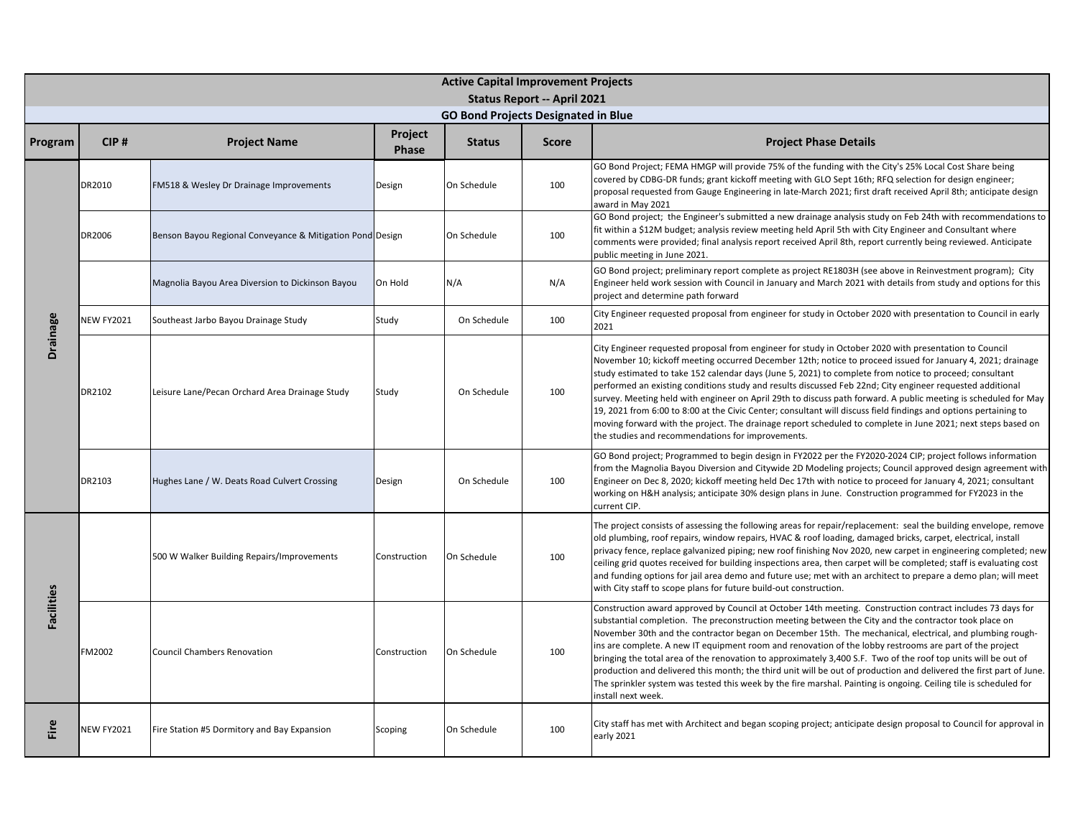|                   |                   |                                                           |              | <b>Active Capital Improvement Projects</b> |                                    |                                                                                                                                                                                                                                                                                                                                                                                                                                                                                                                                                                                                                                                                                                                                                                                                                                                          |
|-------------------|-------------------|-----------------------------------------------------------|--------------|--------------------------------------------|------------------------------------|----------------------------------------------------------------------------------------------------------------------------------------------------------------------------------------------------------------------------------------------------------------------------------------------------------------------------------------------------------------------------------------------------------------------------------------------------------------------------------------------------------------------------------------------------------------------------------------------------------------------------------------------------------------------------------------------------------------------------------------------------------------------------------------------------------------------------------------------------------|
|                   |                   |                                                           |              | <b>GO Bond Projects Designated in Blue</b> | <b>Status Report -- April 2021</b> |                                                                                                                                                                                                                                                                                                                                                                                                                                                                                                                                                                                                                                                                                                                                                                                                                                                          |
|                   |                   |                                                           | Project      |                                            |                                    |                                                                                                                                                                                                                                                                                                                                                                                                                                                                                                                                                                                                                                                                                                                                                                                                                                                          |
| Program           | CIP#              | <b>Project Name</b>                                       | Phase        | <b>Status</b>                              | <b>Score</b>                       | <b>Project Phase Details</b>                                                                                                                                                                                                                                                                                                                                                                                                                                                                                                                                                                                                                                                                                                                                                                                                                             |
|                   | DR2010            | FM518 & Wesley Dr Drainage Improvements                   | Design       | On Schedule                                | 100                                | GO Bond Project; FEMA HMGP will provide 75% of the funding with the City's 25% Local Cost Share being<br>covered by CDBG-DR funds; grant kickoff meeting with GLO Sept 16th; RFQ selection for design engineer;<br>proposal requested from Gauge Engineering in late-March 2021; first draft received April 8th; anticipate design<br>award in May 2021                                                                                                                                                                                                                                                                                                                                                                                                                                                                                                  |
|                   | DR2006            | Benson Bayou Regional Conveyance & Mitigation Pond Design |              | On Schedule                                | 100                                | GO Bond project; the Engineer's submitted a new drainage analysis study on Feb 24th with recommendations to<br>fit within a \$12M budget; analysis review meeting held April 5th with City Engineer and Consultant where<br>comments were provided; final analysis report received April 8th, report currently being reviewed. Anticipate<br>public meeting in June 2021.                                                                                                                                                                                                                                                                                                                                                                                                                                                                                |
|                   |                   | Magnolia Bayou Area Diversion to Dickinson Bayou          | On Hold      | N/A                                        | N/A                                | GO Bond project; preliminary report complete as project RE1803H (see above in Reinvestment program); City<br>Engineer held work session with Council in January and March 2021 with details from study and options for this<br>project and determine path forward                                                                                                                                                                                                                                                                                                                                                                                                                                                                                                                                                                                        |
|                   | <b>NEW FY2021</b> | Southeast Jarbo Bayou Drainage Study                      | Study        | On Schedule                                | 100                                | City Engineer requested proposal from engineer for study in October 2020 with presentation to Council in early<br>2021                                                                                                                                                                                                                                                                                                                                                                                                                                                                                                                                                                                                                                                                                                                                   |
| <b>Drainage</b>   | DR2102            | Leisure Lane/Pecan Orchard Area Drainage Study            | Study        | On Schedule                                | 100                                | City Engineer requested proposal from engineer for study in October 2020 with presentation to Council<br>November 10; kickoff meeting occurred December 12th; notice to proceed issued for January 4, 2021; drainage<br>study estimated to take 152 calendar days (June 5, 2021) to complete from notice to proceed; consultant<br>performed an existing conditions study and results discussed Feb 22nd; City engineer requested additional<br>survey. Meeting held with engineer on April 29th to discuss path forward. A public meeting is scheduled for May<br>19, 2021 from 6:00 to 8:00 at the Civic Center; consultant will discuss field findings and options pertaining to<br>moving forward with the project. The drainage report scheduled to complete in June 2021; next steps based on<br>the studies and recommendations for improvements. |
|                   | DR2103            | Hughes Lane / W. Deats Road Culvert Crossing              | Design       | On Schedule                                | 100                                | GO Bond project; Programmed to begin design in FY2022 per the FY2020-2024 CIP; project follows information<br>from the Magnolia Bayou Diversion and Citywide 2D Modeling projects; Council approved design agreement with<br>Engineer on Dec 8, 2020; kickoff meeting held Dec 17th with notice to proceed for January 4, 2021; consultant<br>working on H&H analysis; anticipate 30% design plans in June. Construction programmed for FY2023 in the<br>current CIP.                                                                                                                                                                                                                                                                                                                                                                                    |
|                   |                   | 500 W Walker Building Repairs/Improvements                | Construction | On Schedule                                | 100                                | The project consists of assessing the following areas for repair/replacement: seal the building envelope, remove<br>old plumbing, roof repairs, window repairs, HVAC & roof loading, damaged bricks, carpet, electrical, install<br>privacy fence, replace galvanized piping; new roof finishing Nov 2020, new carpet in engineering completed; new<br>ceiling grid quotes received for building inspections area, then carpet will be completed; staff is evaluating cost<br>and funding options for jail area demo and future use; met with an architect to prepare a demo plan; will meet<br>with City staff to scope plans for future build-out construction.                                                                                                                                                                                        |
| <b>Facilities</b> | FM2002            | <b>Council Chambers Renovation</b>                        | Construction | On Schedule                                | 100                                | Construction award approved by Council at October 14th meeting. Construction contract includes 73 days for<br>substantial completion. The preconstruction meeting between the City and the contractor took place on<br>November 30th and the contractor began on December 15th. The mechanical, electrical, and plumbing rough-<br>ins are complete. A new IT equipment room and renovation of the lobby restrooms are part of the project<br>bringing the total area of the renovation to approximately 3,400 S.F. Two of the roof top units will be out of<br>production and delivered this month; the third unit will be out of production and delivered the first part of June.<br>The sprinkler system was tested this week by the fire marshal. Painting is ongoing. Ceiling tile is scheduled for<br>install next week.                           |
| Fire              | <b>NEW FY2021</b> | Fire Station #5 Dormitory and Bay Expansion               | Scoping      | On Schedule                                | 100                                | City staff has met with Architect and began scoping project; anticipate design proposal to Council for approval in<br>early 2021                                                                                                                                                                                                                                                                                                                                                                                                                                                                                                                                                                                                                                                                                                                         |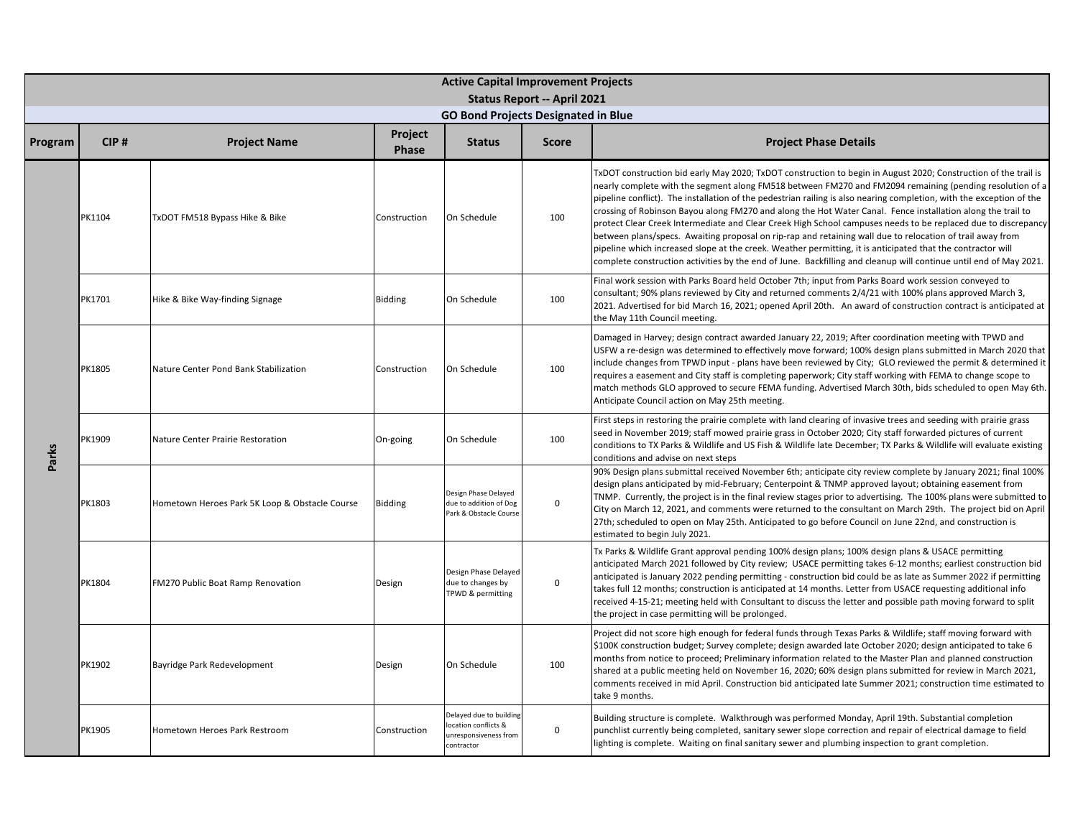|         | <b>Active Capital Improvement Projects</b><br><b>Status Report -- April 2021</b> |                                                |                  |                                                                                       |              |                                                                                                                                                                                                                                                                                                                                                                                                                                                                                                                                                                                                                                                                                                                                                                                                                                                                                                                                      |  |  |  |  |
|---------|----------------------------------------------------------------------------------|------------------------------------------------|------------------|---------------------------------------------------------------------------------------|--------------|--------------------------------------------------------------------------------------------------------------------------------------------------------------------------------------------------------------------------------------------------------------------------------------------------------------------------------------------------------------------------------------------------------------------------------------------------------------------------------------------------------------------------------------------------------------------------------------------------------------------------------------------------------------------------------------------------------------------------------------------------------------------------------------------------------------------------------------------------------------------------------------------------------------------------------------|--|--|--|--|
|         |                                                                                  |                                                |                  | <b>GO Bond Projects Designated in Blue</b>                                            |              |                                                                                                                                                                                                                                                                                                                                                                                                                                                                                                                                                                                                                                                                                                                                                                                                                                                                                                                                      |  |  |  |  |
| Program | CIP#                                                                             | <b>Project Name</b>                            | Project<br>Phase | <b>Status</b>                                                                         | <b>Score</b> | <b>Project Phase Details</b>                                                                                                                                                                                                                                                                                                                                                                                                                                                                                                                                                                                                                                                                                                                                                                                                                                                                                                         |  |  |  |  |
|         | PK1104                                                                           | TxDOT FM518 Bypass Hike & Bike                 | Construction     | On Schedule                                                                           | 100          | TxDOT construction bid early May 2020; TxDOT construction to begin in August 2020; Construction of the trail is<br>nearly complete with the segment along FM518 between FM270 and FM2094 remaining (pending resolution of a<br>pipeline conflict). The installation of the pedestrian railing is also nearing completion, with the exception of the<br>crossing of Robinson Bayou along FM270 and along the Hot Water Canal. Fence installation along the trail to<br>protect Clear Creek Intermediate and Clear Creek High School campuses needs to be replaced due to discrepancy<br>between plans/specs. Awaiting proposal on rip-rap and retaining wall due to relocation of trail away from<br>pipeline which increased slope at the creek. Weather permitting, it is anticipated that the contractor will<br>complete construction activities by the end of June. Backfilling and cleanup will continue until end of May 2021. |  |  |  |  |
|         | PK1701                                                                           | Hike & Bike Way-finding Signage                | <b>Bidding</b>   | On Schedule                                                                           | 100          | Final work session with Parks Board held October 7th; input from Parks Board work session conveyed to<br>consultant; 90% plans reviewed by City and returned comments 2/4/21 with 100% plans approved March 3,<br>2021. Advertised for bid March 16, 2021; opened April 20th. An award of construction contract is anticipated at<br>the May 11th Council meeting.                                                                                                                                                                                                                                                                                                                                                                                                                                                                                                                                                                   |  |  |  |  |
|         | PK1805                                                                           | Nature Center Pond Bank Stabilization          | Construction     | On Schedule                                                                           | 100          | Damaged in Harvey; design contract awarded January 22, 2019; After coordination meeting with TPWD and<br>USFW a re-design was determined to effectively move forward; 100% design plans submitted in March 2020 that<br>include changes from TPWD input - plans have been reviewed by City; GLO reviewed the permit & determined it<br>requires a easement and City staff is completing paperwork; City staff working with FEMA to change scope to<br>match methods GLO approved to secure FEMA funding. Advertised March 30th, bids scheduled to open May 6th.<br>Anticipate Council action on May 25th meeting.                                                                                                                                                                                                                                                                                                                    |  |  |  |  |
| Parks   | PK1909                                                                           | Nature Center Prairie Restoration              | On-going         | On Schedule                                                                           | 100          | First steps in restoring the prairie complete with land clearing of invasive trees and seeding with prairie grass<br>seed in November 2019; staff mowed prairie grass in October 2020; City staff forwarded pictures of current<br>conditions to TX Parks & Wildlife and US Fish & Wildlife late December; TX Parks & Wildlife will evaluate existing<br>conditions and advise on next steps                                                                                                                                                                                                                                                                                                                                                                                                                                                                                                                                         |  |  |  |  |
|         | PK1803                                                                           | Hometown Heroes Park 5K Loop & Obstacle Course | Bidding          | Design Phase Delayed<br>due to addition of Dog<br>Park & Obstacle Course              | $\mathsf 0$  | 90% Design plans submittal received November 6th; anticipate city review complete by January 2021; final 100%<br>design plans anticipated by mid-February; Centerpoint & TNMP approved layout; obtaining easement from<br>TNMP. Currently, the project is in the final review stages prior to advertising. The 100% plans were submitted to<br>City on March 12, 2021, and comments were returned to the consultant on March 29th. The project bid on April<br>27th; scheduled to open on May 25th. Anticipated to go before Council on June 22nd, and construction is<br>estimated to begin July 2021.                                                                                                                                                                                                                                                                                                                              |  |  |  |  |
|         | PK1804                                                                           | <b>FM270 Public Boat Ramp Renovation</b>       | Design           | Design Phase Delayed<br>due to changes by<br>TPWD & permitting                        | $\mathbf 0$  | Tx Parks & Wildlife Grant approval pending 100% design plans; 100% design plans & USACE permitting<br>anticipated March 2021 followed by City review; USACE permitting takes 6-12 months; earliest construction bid<br>anticipated is January 2022 pending permitting - construction bid could be as late as Summer 2022 if permitting<br>takes full 12 months; construction is anticipated at 14 months. Letter from USACE requesting additional info<br>received 4-15-21; meeting held with Consultant to discuss the letter and possible path moving forward to split<br>the project in case permitting will be prolonged.                                                                                                                                                                                                                                                                                                        |  |  |  |  |
|         | PK1902                                                                           | Bayridge Park Redevelopment                    | Design           | On Schedule                                                                           | 100          | Project did not score high enough for federal funds through Texas Parks & Wildlife; staff moving forward with<br>\$100K construction budget; Survey complete; design awarded late October 2020; design anticipated to take 6<br>months from notice to proceed; Preliminary information related to the Master Plan and planned construction<br>shared at a public meeting held on November 16, 2020; 60% design plans submitted for review in March 2021,<br>comments received in mid April. Construction bid anticipated late Summer 2021; construction time estimated to<br>take 9 months.                                                                                                                                                                                                                                                                                                                                          |  |  |  |  |
|         | PK1905                                                                           | Hometown Heroes Park Restroom                  | Construction     | Delayed due to building<br>ocation conflicts &<br>unresponsiveness from<br>contractor | $\mathsf 0$  | Building structure is complete. Walkthrough was performed Monday, April 19th. Substantial completion<br>punchlist currently being completed, sanitary sewer slope correction and repair of electrical damage to field<br>lighting is complete. Waiting on final sanitary sewer and plumbing inspection to grant completion.                                                                                                                                                                                                                                                                                                                                                                                                                                                                                                                                                                                                          |  |  |  |  |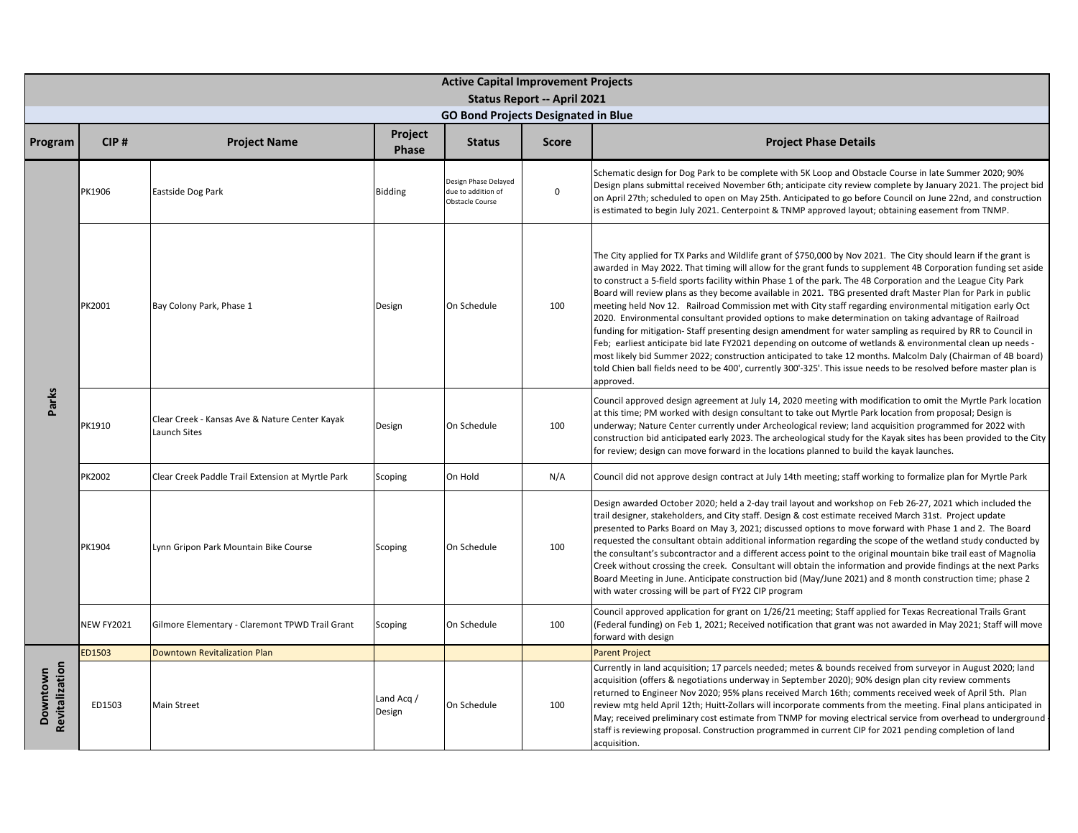|                            | <b>Active Capital Improvement Projects</b><br><b>Status Report -- April 2021</b> |                                                                |                         |                                                               |              |                                                                                                                                                                                                                                                                                                                                                                                                                                                                                                                                                                                                                                                                                                                                                                                                                                                                                                                                                                                                                                                                                                                                                                            |  |  |  |  |
|----------------------------|----------------------------------------------------------------------------------|----------------------------------------------------------------|-------------------------|---------------------------------------------------------------|--------------|----------------------------------------------------------------------------------------------------------------------------------------------------------------------------------------------------------------------------------------------------------------------------------------------------------------------------------------------------------------------------------------------------------------------------------------------------------------------------------------------------------------------------------------------------------------------------------------------------------------------------------------------------------------------------------------------------------------------------------------------------------------------------------------------------------------------------------------------------------------------------------------------------------------------------------------------------------------------------------------------------------------------------------------------------------------------------------------------------------------------------------------------------------------------------|--|--|--|--|
|                            |                                                                                  |                                                                |                         | <b>GO Bond Projects Designated in Blue</b>                    |              |                                                                                                                                                                                                                                                                                                                                                                                                                                                                                                                                                                                                                                                                                                                                                                                                                                                                                                                                                                                                                                                                                                                                                                            |  |  |  |  |
| Program                    | CIP#                                                                             | <b>Project Name</b>                                            | Project<br><b>Phase</b> | <b>Status</b>                                                 | <b>Score</b> | <b>Project Phase Details</b>                                                                                                                                                                                                                                                                                                                                                                                                                                                                                                                                                                                                                                                                                                                                                                                                                                                                                                                                                                                                                                                                                                                                               |  |  |  |  |
|                            | PK1906                                                                           | Eastside Dog Park                                              | <b>Bidding</b>          | Design Phase Delayed<br>due to addition of<br>Obstacle Course | $\mathbf 0$  | Schematic design for Dog Park to be complete with 5K Loop and Obstacle Course in late Summer 2020; 90%<br>Design plans submittal received November 6th; anticipate city review complete by January 2021. The project bid<br>on April 27th; scheduled to open on May 25th. Anticipated to go before Council on June 22nd, and construction<br>is estimated to begin July 2021. Centerpoint & TNMP approved layout; obtaining easement from TNMP.                                                                                                                                                                                                                                                                                                                                                                                                                                                                                                                                                                                                                                                                                                                            |  |  |  |  |
| Parks                      | PK2001                                                                           | Bay Colony Park, Phase 1                                       | Design                  | On Schedule                                                   | 100          | The City applied for TX Parks and Wildlife grant of \$750,000 by Nov 2021. The City should learn if the grant is<br>awarded in May 2022. That timing will allow for the grant funds to supplement 4B Corporation funding set aside<br>to construct a 5-field sports facility within Phase 1 of the park. The 4B Corporation and the League City Park<br>Board will review plans as they become available in 2021. TBG presented draft Master Plan for Park in public<br>meeting held Nov 12. Railroad Commission met with City staff regarding environmental mitigation early Oct<br>2020. Environmental consultant provided options to make determination on taking advantage of Railroad<br>funding for mitigation-Staff presenting design amendment for water sampling as required by RR to Council in<br>Feb; earliest anticipate bid late FY2021 depending on outcome of wetlands & environmental clean up needs -<br>most likely bid Summer 2022; construction anticipated to take 12 months. Malcolm Daly (Chairman of 4B board)<br>told Chien ball fields need to be 400', currently 300'-325'. This issue needs to be resolved before master plan is<br>approved. |  |  |  |  |
|                            | PK1910                                                                           | Clear Creek - Kansas Ave & Nature Center Kayak<br>Launch Sites | Design                  | On Schedule                                                   | 100          | Council approved design agreement at July 14, 2020 meeting with modification to omit the Myrtle Park location<br>at this time; PM worked with design consultant to take out Myrtle Park location from proposal; Design is<br>underway; Nature Center currently under Archeological review; land acquisition programmed for 2022 with<br>construction bid anticipated early 2023. The archeological study for the Kayak sites has been provided to the City<br>for review; design can move forward in the locations planned to build the kayak launches.                                                                                                                                                                                                                                                                                                                                                                                                                                                                                                                                                                                                                    |  |  |  |  |
|                            | PK2002                                                                           | Clear Creek Paddle Trail Extension at Myrtle Park              | Scoping                 | On Hold                                                       | N/A          | Council did not approve design contract at July 14th meeting; staff working to formalize plan for Myrtle Park                                                                                                                                                                                                                                                                                                                                                                                                                                                                                                                                                                                                                                                                                                                                                                                                                                                                                                                                                                                                                                                              |  |  |  |  |
|                            | PK1904                                                                           | Lynn Gripon Park Mountain Bike Course                          | Scoping                 | On Schedule                                                   | 100          | Design awarded October 2020; held a 2-day trail layout and workshop on Feb 26-27, 2021 which included the<br>trail designer, stakeholders, and City staff. Design & cost estimate received March 31st. Project update<br>presented to Parks Board on May 3, 2021; discussed options to move forward with Phase 1 and 2. The Board<br>requested the consultant obtain additional information regarding the scope of the wetland study conducted by<br>the consultant's subcontractor and a different access point to the original mountain bike trail east of Magnolia<br>Creek without crossing the creek. Consultant will obtain the information and provide findings at the next Parks<br>Board Meeting in June. Anticipate construction bid (May/June 2021) and 8 month construction time; phase 2<br>with water crossing will be part of FY22 CIP program                                                                                                                                                                                                                                                                                                              |  |  |  |  |
|                            | <b>NEW FY2021</b>                                                                | Gilmore Elementary - Claremont TPWD Trail Grant                | Scoping                 | On Schedule                                                   | 100          | Council approved application for grant on 1/26/21 meeting; Staff applied for Texas Recreational Trails Grant<br>Federal funding) on Feb 1, 2021; Received notification that grant was not awarded in May 2021; Staff will move<br>forward with design                                                                                                                                                                                                                                                                                                                                                                                                                                                                                                                                                                                                                                                                                                                                                                                                                                                                                                                      |  |  |  |  |
|                            | ED1503                                                                           | <b>Downtown Revitalization Plan</b>                            |                         |                                                               |              | <b>Parent Project</b>                                                                                                                                                                                                                                                                                                                                                                                                                                                                                                                                                                                                                                                                                                                                                                                                                                                                                                                                                                                                                                                                                                                                                      |  |  |  |  |
| Revitalization<br>Downtown | ED1503                                                                           | <b>Main Street</b>                                             | Land Acg /<br>Design    | On Schedule                                                   | 100          | Currently in land acquisition; 17 parcels needed; metes & bounds received from surveyor in August 2020; land<br>acquisition (offers & negotiations underway in September 2020); 90% design plan city review comments<br>returned to Engineer Nov 2020; 95% plans received March 16th; comments received week of April 5th. Plan<br>review mtg held April 12th; Huitt-Zollars will incorporate comments from the meeting. Final plans anticipated in<br>May; received preliminary cost estimate from TNMP for moving electrical service from overhead to underground<br>staff is reviewing proposal. Construction programmed in current CIP for 2021 pending completion of land<br>acquisition.                                                                                                                                                                                                                                                                                                                                                                                                                                                                             |  |  |  |  |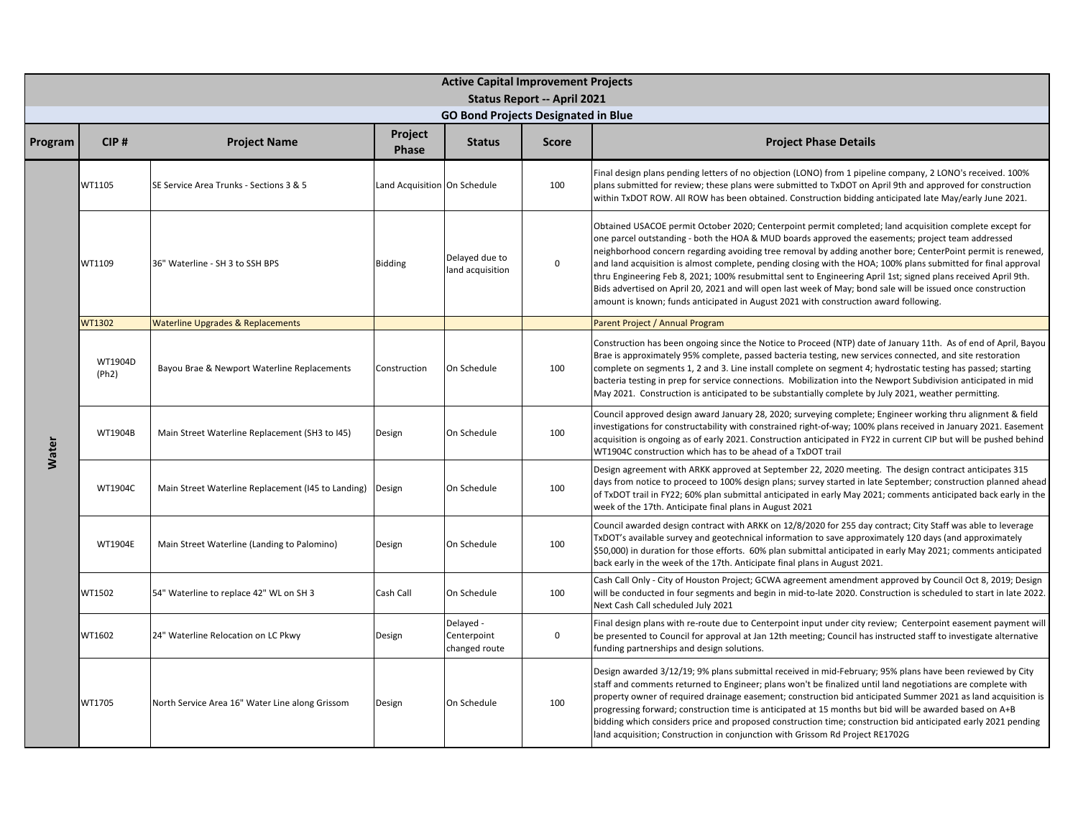|         | <b>Active Capital Improvement Projects</b><br><b>Status Report -- April 2021</b> |                                                    |                              |                                            |              |                                                                                                                                                                                                                                                                                                                                                                                                                                                                                                                                                                                                                                                                                                                                                                         |  |  |  |  |
|---------|----------------------------------------------------------------------------------|----------------------------------------------------|------------------------------|--------------------------------------------|--------------|-------------------------------------------------------------------------------------------------------------------------------------------------------------------------------------------------------------------------------------------------------------------------------------------------------------------------------------------------------------------------------------------------------------------------------------------------------------------------------------------------------------------------------------------------------------------------------------------------------------------------------------------------------------------------------------------------------------------------------------------------------------------------|--|--|--|--|
|         |                                                                                  |                                                    |                              | <b>GO Bond Projects Designated in Blue</b> |              |                                                                                                                                                                                                                                                                                                                                                                                                                                                                                                                                                                                                                                                                                                                                                                         |  |  |  |  |
| Program | CIP#                                                                             | <b>Project Name</b>                                | Project<br><b>Phase</b>      | <b>Status</b>                              | <b>Score</b> | <b>Project Phase Details</b>                                                                                                                                                                                                                                                                                                                                                                                                                                                                                                                                                                                                                                                                                                                                            |  |  |  |  |
|         | WT1105                                                                           | SE Service Area Trunks - Sections 3 & 5            | Land Acquisition On Schedule |                                            | 100          | Final design plans pending letters of no objection (LONO) from 1 pipeline company, 2 LONO's received. 100%<br>plans submitted for review; these plans were submitted to TxDOT on April 9th and approved for construction<br>within TxDOT ROW. All ROW has been obtained. Construction bidding anticipated late May/early June 2021.                                                                                                                                                                                                                                                                                                                                                                                                                                     |  |  |  |  |
|         | WT1109                                                                           | 36" Waterline - SH 3 to SSH BPS                    | <b>Bidding</b>               | Delayed due to<br>land acquisition         | $\mathsf 0$  | Obtained USACOE permit October 2020; Centerpoint permit completed; land acquisition complete except for<br>one parcel outstanding - both the HOA & MUD boards approved the easements; project team addressed<br>neighborhood concern regarding avoiding tree removal by adding another bore; CenterPoint permit is renewed,<br>and land acquisition is almost complete, pending closing with the HOA; 100% plans submitted for final approval<br>thru Engineering Feb 8, 2021; 100% resubmittal sent to Engineering April 1st; signed plans received April 9th.<br>Bids advertised on April 20, 2021 and will open last week of May; bond sale will be issued once construction<br>amount is known; funds anticipated in August 2021 with construction award following. |  |  |  |  |
|         | WT1302                                                                           | <b>Waterline Upgrades &amp; Replacements</b>       |                              |                                            |              | Parent Project / Annual Program                                                                                                                                                                                                                                                                                                                                                                                                                                                                                                                                                                                                                                                                                                                                         |  |  |  |  |
|         | WT1904D<br>(Ph2)                                                                 | Bayou Brae & Newport Waterline Replacements        | Construction                 | On Schedule                                | 100          | Construction has been ongoing since the Notice to Proceed (NTP) date of January 11th. As of end of April, Bayou<br>Brae is approximately 95% complete, passed bacteria testing, new services connected, and site restoration<br>complete on segments 1, 2 and 3. Line install complete on segment 4; hydrostatic testing has passed; starting<br>bacteria testing in prep for service connections. Mobilization into the Newport Subdivision anticipated in mid<br>May 2021. Construction is anticipated to be substantially complete by July 2021, weather permitting.                                                                                                                                                                                                 |  |  |  |  |
| Water   | WT1904B                                                                          | Main Street Waterline Replacement (SH3 to I45)     | Design                       | On Schedule                                | 100          | Council approved design award January 28, 2020; surveying complete; Engineer working thru alignment & field<br>investigations for constructability with constrained right-of-way; 100% plans received in January 2021. Easement<br>acquisition is ongoing as of early 2021. Construction anticipated in FY22 in current CIP but will be pushed behind<br>WT1904C construction which has to be ahead of a TxDOT trail                                                                                                                                                                                                                                                                                                                                                    |  |  |  |  |
|         | WT1904C                                                                          | Main Street Waterline Replacement (I45 to Landing) | Design                       | On Schedule                                | 100          | Design agreement with ARKK approved at September 22, 2020 meeting. The design contract anticipates 315<br>days from notice to proceed to 100% design plans; survey started in late September; construction planned ahead<br>of TxDOT trail in FY22; 60% plan submittal anticipated in early May 2021; comments anticipated back early in the<br>week of the 17th. Anticipate final plans in August 2021                                                                                                                                                                                                                                                                                                                                                                 |  |  |  |  |
|         | WT1904E                                                                          | Main Street Waterline (Landing to Palomino)        | Design                       | On Schedule                                | 100          | Council awarded design contract with ARKK on 12/8/2020 for 255 day contract; City Staff was able to leverage<br>TxDOT's available survey and geotechnical information to save approximately 120 days (and approximately<br>\$50,000) in duration for those efforts. 60% plan submittal anticipated in early May 2021; comments anticipated<br>back early in the week of the 17th. Anticipate final plans in August 2021.                                                                                                                                                                                                                                                                                                                                                |  |  |  |  |
|         | WT1502                                                                           | 54" Waterline to replace 42" WL on SH 3            | Cash Call                    | On Schedule                                | 100          | Cash Call Only - City of Houston Project; GCWA agreement amendment approved by Council Oct 8, 2019; Design<br>will be conducted in four segments and begin in mid-to-late 2020. Construction is scheduled to start in late 2022.<br>Next Cash Call scheduled July 2021                                                                                                                                                                                                                                                                                                                                                                                                                                                                                                  |  |  |  |  |
|         | WT1602                                                                           | 24" Waterline Relocation on LC Pkwy                | Design                       | Delayed -<br>Centerpoint<br>changed route  | $\mathsf 0$  | Final design plans with re-route due to Centerpoint input under city review; Centerpoint easement payment will<br>be presented to Council for approval at Jan 12th meeting; Council has instructed staff to investigate alternative<br>funding partnerships and design solutions.                                                                                                                                                                                                                                                                                                                                                                                                                                                                                       |  |  |  |  |
|         | WT1705                                                                           | North Service Area 16" Water Line along Grissom    | Design                       | On Schedule                                | 100          | Design awarded 3/12/19; 9% plans submittal received in mid-February; 95% plans have been reviewed by City<br>staff and comments returned to Engineer; plans won't be finalized until land negotiations are complete with<br>property owner of required drainage easement; construction bid anticipated Summer 2021 as land acquisition is<br>progressing forward; construction time is anticipated at 15 months but bid will be awarded based on A+B<br>bidding which considers price and proposed construction time; construction bid anticipated early 2021 pending<br>land acquisition; Construction in conjunction with Grissom Rd Project RE1702G                                                                                                                  |  |  |  |  |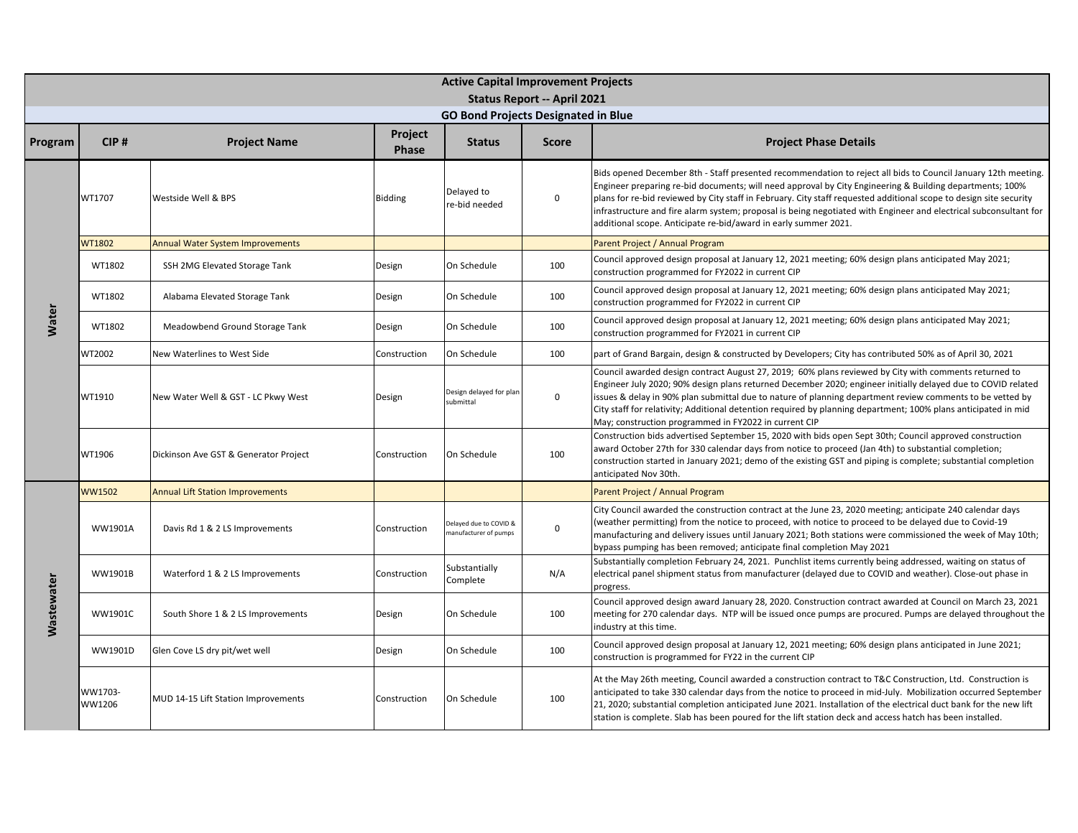|                   | <b>Active Capital Improvement Projects</b><br>Status Report -- April 2021 |                                         |                         |                                                 |              |                                                                                                                                                                                                                                                                                                                                                                                                                                                                                                                                         |  |  |  |  |
|-------------------|---------------------------------------------------------------------------|-----------------------------------------|-------------------------|-------------------------------------------------|--------------|-----------------------------------------------------------------------------------------------------------------------------------------------------------------------------------------------------------------------------------------------------------------------------------------------------------------------------------------------------------------------------------------------------------------------------------------------------------------------------------------------------------------------------------------|--|--|--|--|
|                   | <b>GO Bond Projects Designated in Blue</b>                                |                                         |                         |                                                 |              |                                                                                                                                                                                                                                                                                                                                                                                                                                                                                                                                         |  |  |  |  |
| Program           | CIP#                                                                      | <b>Project Name</b>                     | Project<br><b>Phase</b> | <b>Status</b>                                   | <b>Score</b> | <b>Project Phase Details</b>                                                                                                                                                                                                                                                                                                                                                                                                                                                                                                            |  |  |  |  |
|                   | WT1707                                                                    | Westside Well & BPS                     | <b>Bidding</b>          | Delayed to<br>re-bid needed                     | $\mathbf 0$  | Bids opened December 8th - Staff presented recommendation to reject all bids to Council January 12th meeting.<br>Engineer preparing re-bid documents; will need approval by City Engineering & Building departments; 100%<br>plans for re-bid reviewed by City staff in February. City staff requested additional scope to design site security<br>infrastructure and fire alarm system; proposal is being negotiated with Engineer and electrical subconsultant for<br>additional scope. Anticipate re-bid/award in early summer 2021. |  |  |  |  |
|                   | <b>WT1802</b>                                                             | <b>Annual Water System Improvements</b> |                         |                                                 |              | Parent Project / Annual Program                                                                                                                                                                                                                                                                                                                                                                                                                                                                                                         |  |  |  |  |
|                   | WT1802                                                                    | SSH 2MG Elevated Storage Tank           | Design                  | On Schedule                                     | 100          | Council approved design proposal at January 12, 2021 meeting; 60% design plans anticipated May 2021;<br>construction programmed for FY2022 in current CIP                                                                                                                                                                                                                                                                                                                                                                               |  |  |  |  |
|                   | WT1802                                                                    | Alabama Elevated Storage Tank           | Design                  | On Schedule                                     | 100          | Council approved design proposal at January 12, 2021 meeting; 60% design plans anticipated May 2021;<br>construction programmed for FY2022 in current CIP                                                                                                                                                                                                                                                                                                                                                                               |  |  |  |  |
| <b>Water</b>      | WT1802                                                                    | Meadowbend Ground Storage Tank          | Design                  | On Schedule                                     | 100          | Council approved design proposal at January 12, 2021 meeting; 60% design plans anticipated May 2021;<br>construction programmed for FY2021 in current CIP                                                                                                                                                                                                                                                                                                                                                                               |  |  |  |  |
|                   | WT2002                                                                    | New Waterlines to West Side             | Construction            | On Schedule                                     | 100          | part of Grand Bargain, design & constructed by Developers; City has contributed 50% as of April 30, 2021                                                                                                                                                                                                                                                                                                                                                                                                                                |  |  |  |  |
|                   | WT1910                                                                    | New Water Well & GST - LC Pkwy West     | Design                  | Design delayed for plar<br>submittal            | $\mathbf 0$  | Council awarded design contract August 27, 2019; 60% plans reviewed by City with comments returned to<br>Engineer July 2020; 90% design plans returned December 2020; engineer initially delayed due to COVID related<br>ssues & delay in 90% plan submittal due to nature of planning department review comments to be vetted by<br>City staff for relativity; Additional detention required by planning department; 100% plans anticipated in mid<br>May; construction programmed in FY2022 in current CIP                            |  |  |  |  |
|                   | WT1906                                                                    | Dickinson Ave GST & Generator Project   | Construction            | On Schedule                                     | 100          | Construction bids advertised September 15, 2020 with bids open Sept 30th; Council approved construction<br>award October 27th for 330 calendar days from notice to proceed (Jan 4th) to substantial completion;<br>construction started in January 2021; demo of the existing GST and piping is complete; substantial completion<br>anticipated Nov 30th.                                                                                                                                                                               |  |  |  |  |
|                   | <b>WW1502</b>                                                             | <b>Annual Lift Station Improvements</b> |                         |                                                 |              | Parent Project / Annual Program                                                                                                                                                                                                                                                                                                                                                                                                                                                                                                         |  |  |  |  |
|                   | <b>WW1901A</b>                                                            | Davis Rd 1 & 2 LS Improvements          | Construction            | Delayed due to COVID &<br>nanufacturer of pumps | 0            | City Council awarded the construction contract at the June 23, 2020 meeting; anticipate 240 calendar days<br>weather permitting) from the notice to proceed, with notice to proceed to be delayed due to Covid-19<br>manufacturing and delivery issues until January 2021; Both stations were commissioned the week of May 10th;<br>bypass pumping has been removed; anticipate final completion May 2021                                                                                                                               |  |  |  |  |
|                   | <b>WW1901B</b>                                                            | Waterford 1 & 2 LS Improvements         | Construction            | Substantially<br>Complete                       | N/A          | Substantially completion February 24, 2021. Punchlist items currently being addressed, waiting on status of<br>electrical panel shipment status from manufacturer (delayed due to COVID and weather). Close-out phase in<br>progress.                                                                                                                                                                                                                                                                                                   |  |  |  |  |
| <b>Wastewater</b> | <b>WW1901C</b>                                                            | South Shore 1 & 2 LS Improvements       | Design                  | On Schedule                                     | 100          | Council approved design award January 28, 2020. Construction contract awarded at Council on March 23, 2021<br>meeting for 270 calendar days. NTP will be issued once pumps are procured. Pumps are delayed throughout the<br>ndustry at this time.                                                                                                                                                                                                                                                                                      |  |  |  |  |
|                   | WW1901D                                                                   | Glen Cove LS dry pit/wet well           | Design                  | On Schedule                                     | 100          | Council approved design proposal at January 12, 2021 meeting; 60% design plans anticipated in June 2021;<br>construction is programmed for FY22 in the current CIP                                                                                                                                                                                                                                                                                                                                                                      |  |  |  |  |
|                   | WW1703-<br>WW1206                                                         | MUD 14-15 Lift Station Improvements     | Construction            | On Schedule                                     | 100          | At the May 26th meeting, Council awarded a construction contract to T&C Construction, Ltd. Construction is<br>anticipated to take 330 calendar days from the notice to proceed in mid-July. Mobilization occurred September<br>21, 2020; substantial completion anticipated June 2021. Installation of the electrical duct bank for the new lift<br>station is complete. Slab has been poured for the lift station deck and access hatch has been installed.                                                                            |  |  |  |  |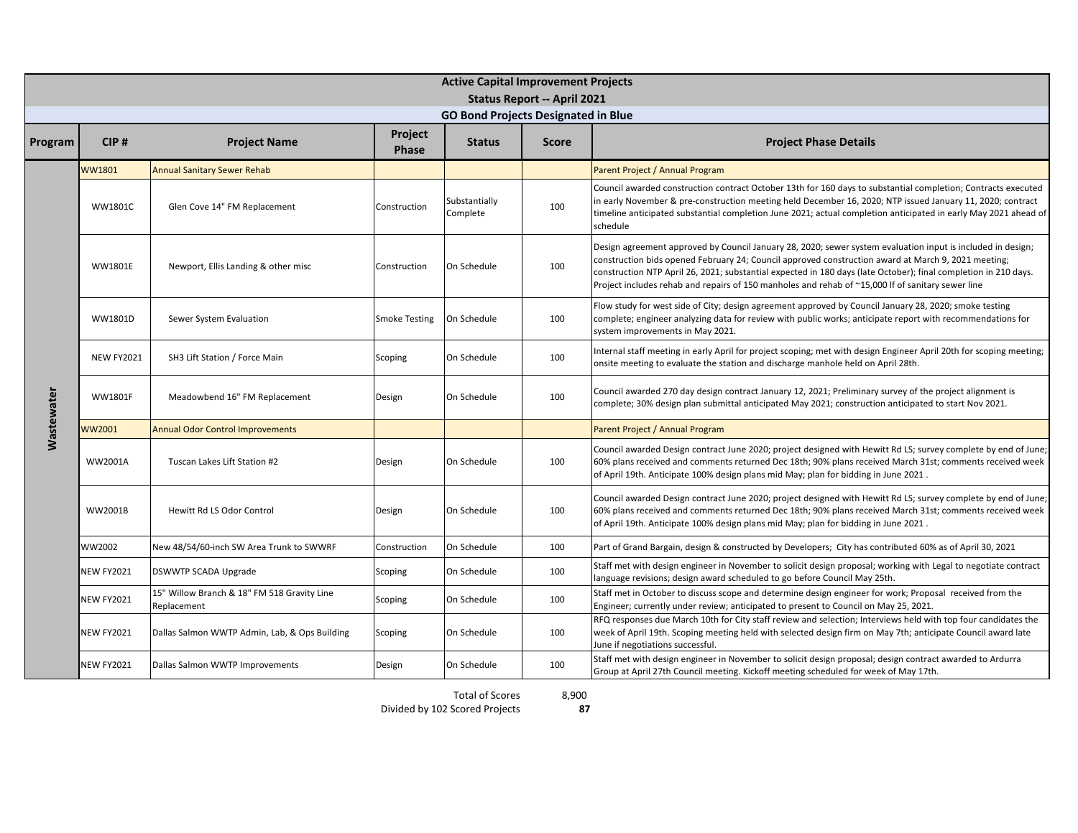|                   | <b>Active Capital Improvement Projects</b> |                                                            |                         |                                            |                                    |                                                                                                                                                                                                                                                                                                                                                                                                                                            |  |  |  |  |  |
|-------------------|--------------------------------------------|------------------------------------------------------------|-------------------------|--------------------------------------------|------------------------------------|--------------------------------------------------------------------------------------------------------------------------------------------------------------------------------------------------------------------------------------------------------------------------------------------------------------------------------------------------------------------------------------------------------------------------------------------|--|--|--|--|--|
|                   |                                            |                                                            |                         |                                            | <b>Status Report -- April 2021</b> |                                                                                                                                                                                                                                                                                                                                                                                                                                            |  |  |  |  |  |
|                   |                                            |                                                            |                         | <b>GO Bond Projects Designated in Blue</b> |                                    |                                                                                                                                                                                                                                                                                                                                                                                                                                            |  |  |  |  |  |
| Program           | CIP#                                       | <b>Project Name</b>                                        | Project<br><b>Phase</b> | <b>Status</b>                              | <b>Score</b>                       | <b>Project Phase Details</b>                                                                                                                                                                                                                                                                                                                                                                                                               |  |  |  |  |  |
|                   | <b>WW1801</b>                              | <b>Annual Sanitary Sewer Rehab</b>                         |                         |                                            |                                    | Parent Project / Annual Program                                                                                                                                                                                                                                                                                                                                                                                                            |  |  |  |  |  |
|                   | WW1801C                                    | Glen Cove 14" FM Replacement                               | Construction            | Substantially<br>Complete                  | 100                                | Council awarded construction contract October 13th for 160 days to substantial completion; Contracts executed<br>in early November & pre-construction meeting held December 16, 2020; NTP issued January 11, 2020; contract<br>timeline anticipated substantial completion June 2021; actual completion anticipated in early May 2021 ahead of<br>schedule                                                                                 |  |  |  |  |  |
|                   | <b>WW1801E</b>                             | Newport, Ellis Landing & other misc                        | Construction            | On Schedule                                | 100                                | Design agreement approved by Council January 28, 2020; sewer system evaluation input is included in design;<br>construction bids opened February 24; Council approved construction award at March 9, 2021 meeting;<br>construction NTP April 26, 2021; substantial expected in 180 days (late October); final completion in 210 days.<br>Project includes rehab and repairs of 150 manholes and rehab of ~15,000 If of sanitary sewer line |  |  |  |  |  |
|                   | WW1801D                                    | Sewer System Evaluation                                    | <b>Smoke Testing</b>    | On Schedule                                | 100                                | Flow study for west side of City; design agreement approved by Council January 28, 2020; smoke testing<br>complete; engineer analyzing data for review with public works; anticipate report with recommendations for<br>system improvements in May 2021.                                                                                                                                                                                   |  |  |  |  |  |
|                   | <b>NEW FY2021</b>                          | SH3 Lift Station / Force Main                              | Scoping                 | On Schedule                                | 100                                | Internal staff meeting in early April for project scoping; met with design Engineer April 20th for scoping meeting;<br>onsite meeting to evaluate the station and discharge manhole held on April 28th.                                                                                                                                                                                                                                    |  |  |  |  |  |
| <b>Wastewater</b> | <b>WW1801F</b>                             | Meadowbend 16" FM Replacement                              | Design                  | On Schedule                                | 100                                | Council awarded 270 day design contract January 12, 2021; Preliminary survey of the project alignment is<br>complete; 30% design plan submittal anticipated May 2021; construction anticipated to start Nov 2021.                                                                                                                                                                                                                          |  |  |  |  |  |
|                   | WW2001                                     | <b>Annual Odor Control Improvements</b>                    |                         |                                            |                                    | Parent Project / Annual Program                                                                                                                                                                                                                                                                                                                                                                                                            |  |  |  |  |  |
|                   | WW2001A                                    | Tuscan Lakes Lift Station #2                               | Design                  | On Schedule                                | 100                                | Council awarded Design contract June 2020; project designed with Hewitt Rd LS; survey complete by end of June;<br>60% plans received and comments returned Dec 18th; 90% plans received March 31st; comments received week<br>of April 19th. Anticipate 100% design plans mid May; plan for bidding in June 2021.                                                                                                                          |  |  |  |  |  |
|                   | WW2001B                                    | Hewitt Rd LS Odor Control                                  | Design                  | On Schedule                                | 100                                | Council awarded Design contract June 2020; project designed with Hewitt Rd LS; survey complete by end of June;<br>60% plans received and comments returned Dec 18th; 90% plans received March 31st; comments received week<br>of April 19th. Anticipate 100% design plans mid May; plan for bidding in June 2021.                                                                                                                          |  |  |  |  |  |
|                   | WW2002                                     | New 48/54/60-inch SW Area Trunk to SWWRF                   | Construction            | On Schedule                                | 100                                | Part of Grand Bargain, design & constructed by Developers; City has contributed 60% as of April 30, 2021                                                                                                                                                                                                                                                                                                                                   |  |  |  |  |  |
|                   | <b>NEW FY2021</b>                          | DSWWTP SCADA Upgrade                                       | Scoping                 | On Schedule                                | 100                                | Staff met with design engineer in November to solicit design proposal; working with Legal to negotiate contract<br>language revisions; design award scheduled to go before Council May 25th.                                                                                                                                                                                                                                               |  |  |  |  |  |
|                   | <b>NEW FY2021</b>                          | 15" Willow Branch & 18" FM 518 Gravity Line<br>Replacement | Scoping                 | On Schedule                                | 100                                | Staff met in October to discuss scope and determine design engineer for work; Proposal received from the<br>Engineer; currently under review; anticipated to present to Council on May 25, 2021.                                                                                                                                                                                                                                           |  |  |  |  |  |
|                   | <b>NEW FY2021</b>                          | Dallas Salmon WWTP Admin, Lab, & Ops Building              | Scoping                 | On Schedule                                | 100                                | RFQ responses due March 10th for City staff review and selection; Interviews held with top four candidates the<br>week of April 19th. Scoping meeting held with selected design firm on May 7th; anticipate Council award late<br>June if negotiations successful.                                                                                                                                                                         |  |  |  |  |  |
|                   | <b>NEW FY2021</b>                          | Dallas Salmon WWTP Improvements                            | Design                  | On Schedule                                | 100                                | Staff met with design engineer in November to solicit design proposal; design contract awarded to Ardurra<br>Group at April 27th Council meeting. Kickoff meeting scheduled for week of May 17th.                                                                                                                                                                                                                                          |  |  |  |  |  |

Total of Scores

8,900

**87**